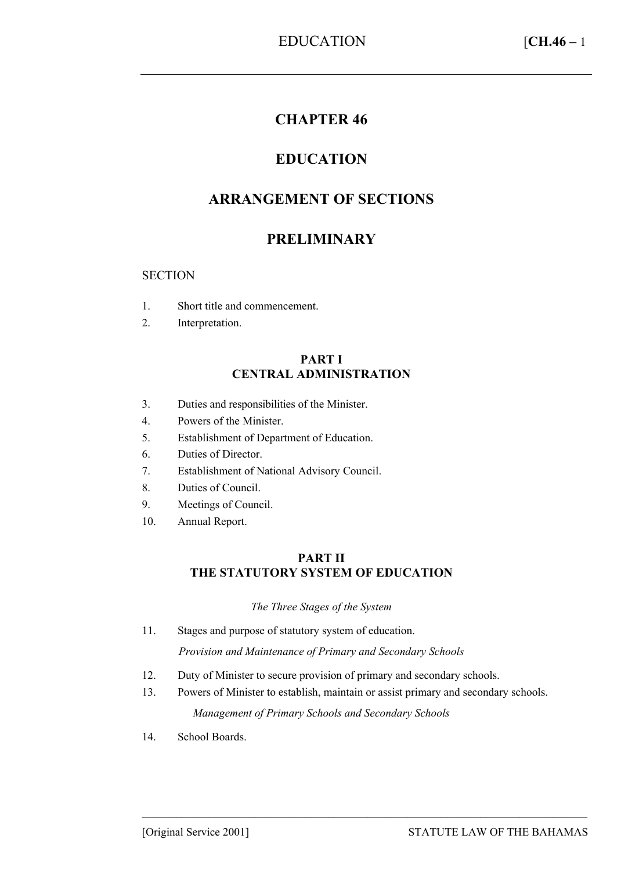# **CHAPTER 46**

# **EDUCATION**

# **ARRANGEMENT OF SECTIONS**

# **PRELIMINARY**

#### **SECTION**

- 1. Short title and commencement.
- 2. Interpretation.

#### **PART I CENTRAL ADMINISTRATION**

- 3. Duties and responsibilities of the Minister.
- 4. Powers of the Minister.
- 5. Establishment of Department of Education.
- 6. Duties of Director.
- 7. Establishment of National Advisory Council.
- 8. Duties of Council.
- 9. Meetings of Council.
- 10. Annual Report.

#### **PART II THE STATUTORY SYSTEM OF EDUCATION**

#### *The Three Stages of the System*

11. Stages and purpose of statutory system of education.

*Provision and Maintenance of Primary and Secondary Schools* 

- 12. Duty of Minister to secure provision of primary and secondary schools.
- 13. Powers of Minister to establish, maintain or assist primary and secondary schools. *Management of Primary Schools and Secondary Schools*

–––––––––––––––––––––––––––––––––––––––––––––––––––––––––––––––––––––––––––––––

14. School Boards.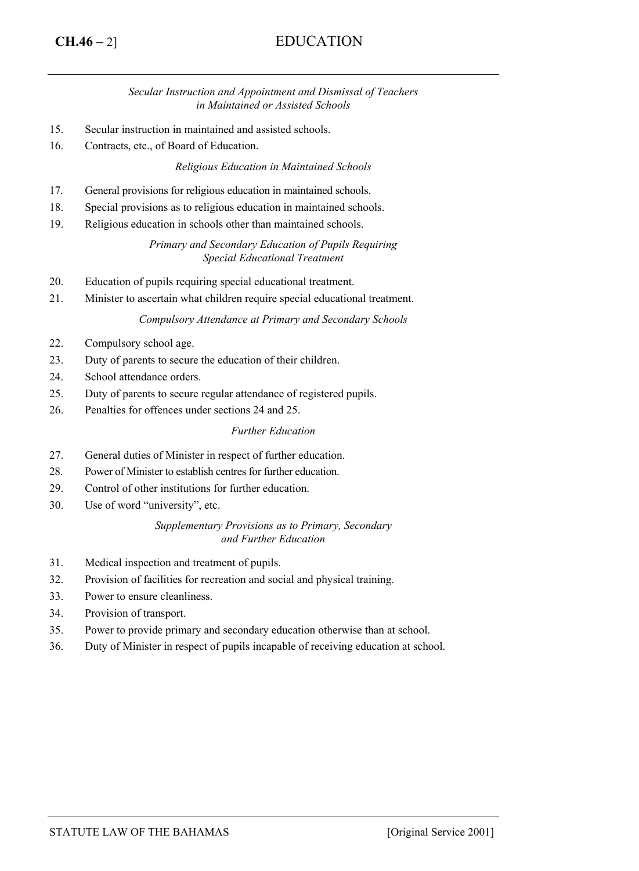# **CH.46 –** 2] EDUCATION

#### *Secular Instruction and Appointment and Dismissal of Teachers in Maintained or Assisted Schools*

- 15. Secular instruction in maintained and assisted schools.
- 16. Contracts, etc., of Board of Education.

#### *Religious Education in Maintained Schools*

- 17. General provisions for religious education in maintained schools.
- 18. Special provisions as to religious education in maintained schools.
- 19. Religious education in schools other than maintained schools.

*Primary and Secondary Education of Pupils Requiring Special Educational Treatment* 

- 20. Education of pupils requiring special educational treatment.
- 21. Minister to ascertain what children require special educational treatment.

#### *Compulsory Attendance at Primary and Secondary Schools*

- 22. Compulsory school age.
- 23. Duty of parents to secure the education of their children.
- 24. School attendance orders.
- 25. Duty of parents to secure regular attendance of registered pupils.
- 26. Penalties for offences under sections 24 and 25.

#### *Further Education*

- 27. General duties of Minister in respect of further education.
- 28. Power of Minister to establish centres for further education.
- 29. Control of other institutions for further education.
- 30. Use of word "university", etc.

#### *Supplementary Provisions as to Primary, Secondary and Further Education*

- 31. Medical inspection and treatment of pupils.
- 32. Provision of facilities for recreation and social and physical training.
- 33. Power to ensure cleanliness.
- 34. Provision of transport.
- 35. Power to provide primary and secondary education otherwise than at school.
- 36. Duty of Minister in respect of pupils incapable of receiving education at school.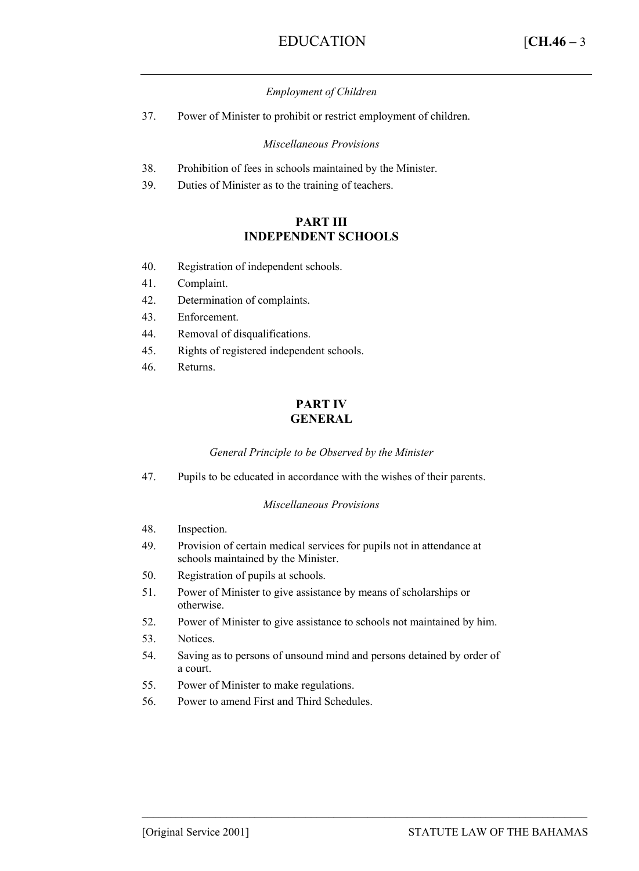#### *Employment of Children*

37. Power of Minister to prohibit or restrict employment of children.

*Miscellaneous Provisions* 

- 38. Prohibition of fees in schools maintained by the Minister.
- 39. Duties of Minister as to the training of teachers.

#### **PART III INDEPENDENT SCHOOLS**

- 40. Registration of independent schools.
- 41. Complaint.
- 42. Determination of complaints.
- 43. Enforcement.
- 44. Removal of disqualifications.
- 45. Rights of registered independent schools.
- 46. Returns.

#### **PART IV GENERAL**

#### *General Principle to be Observed by the Minister*

47. Pupils to be educated in accordance with the wishes of their parents.

#### *Miscellaneous Provisions*

- 48. Inspection.
- 49. Provision of certain medical services for pupils not in attendance at schools maintained by the Minister.
- 50. Registration of pupils at schools.
- 51. Power of Minister to give assistance by means of scholarships or otherwise.
- 52. Power of Minister to give assistance to schools not maintained by him.
- 53. Notices.
- 54. Saving as to persons of unsound mind and persons detained by order of a court.

–––––––––––––––––––––––––––––––––––––––––––––––––––––––––––––––––––––––––––––––

- 55. Power of Minister to make regulations.
- 56. Power to amend First and Third Schedules.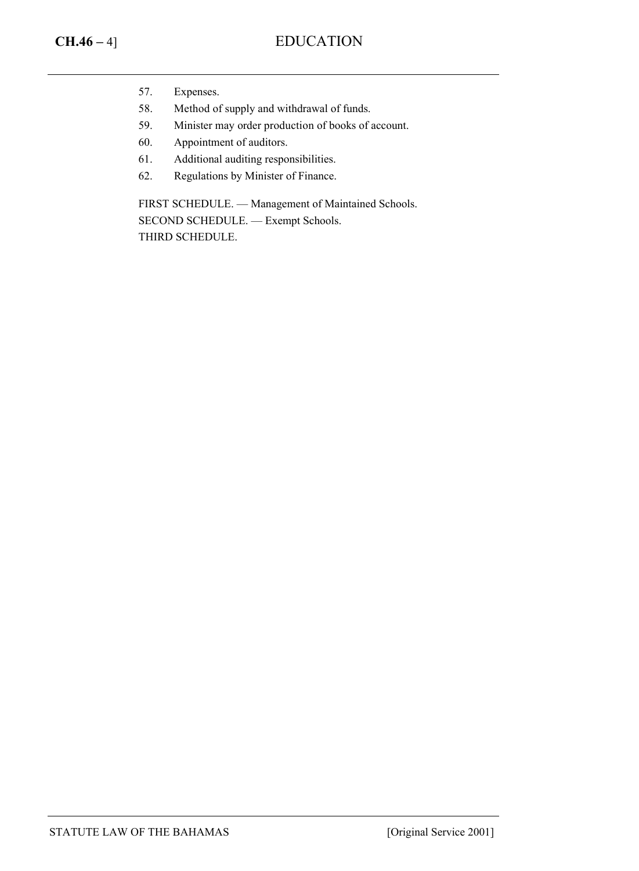- 57. Expenses.
- 58. Method of supply and withdrawal of funds.
- 59. Minister may order production of books of account.
- 60. Appointment of auditors.
- 61. Additional auditing responsibilities.
- 62. Regulations by Minister of Finance.

FIRST SCHEDULE. — Management of Maintained Schools. SECOND SCHEDULE. — Exempt Schools. THIRD SCHEDULE.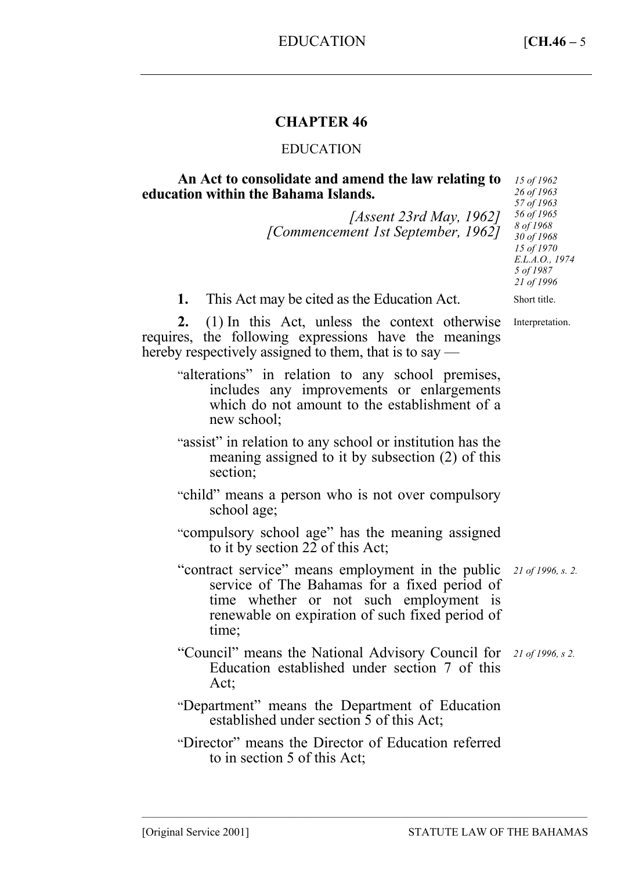# **CHAPTER 46**

#### EDUCATION

#### **An Act to consolidate and amend the law relating to education within the Bahama Islands.**

*[Assent 23rd May, 1962] [Commencement 1st September, 1962]* 

Interpretation.

**1.** This Act may be cited as the Education Act.

**2.** (1) In this Act, unless the context otherwise requires, the following expressions have the meanings hereby respectively assigned to them, that is to say —

- "alterations" in relation to any school premises, includes any improvements or enlargements which do not amount to the establishment of a new school;
- "assist" in relation to any school or institution has the meaning assigned to it by subsection (2) of this section;
- "child" means a person who is not over compulsory school age;
- "compulsory school age" has the meaning assigned to it by section 22 of this Act;

"contract service" means employment in the public *21 of 1996, s. 2.*  service of The Bahamas for a fixed period of time whether or not such employment is renewable on expiration of such fixed period of time;

- "Council" means the National Advisory Council for *21 of 1996, s 2.* Education established under section 7 of this Act;
- "Department" means the Department of Education established under section 5 of this Act;
- "Director" means the Director of Education referred to in section 5 of this Act;

–––––––––––––––––––––––––––––––––––––––––––––––––––––––––––––––––––––––––––––––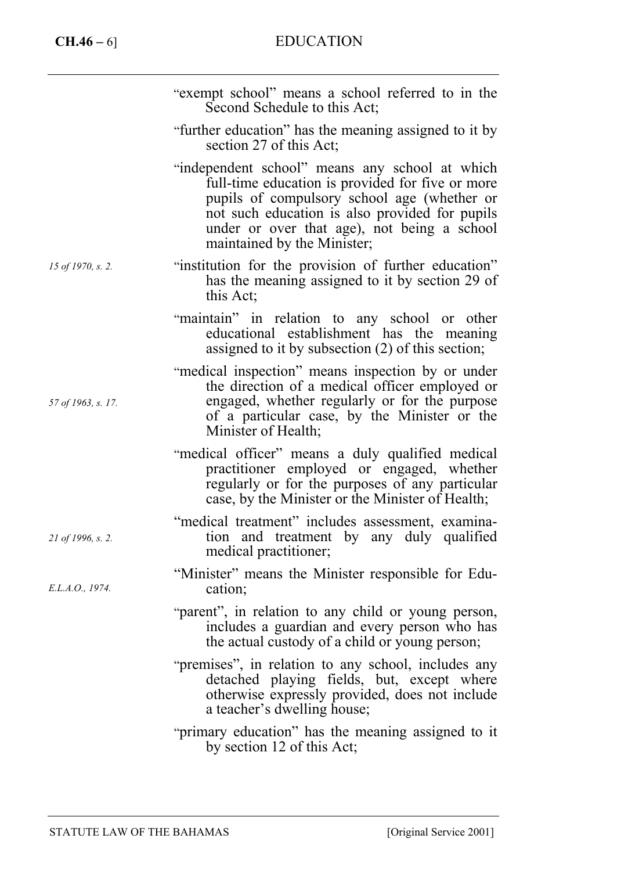|                    | "exempt school" means a school referred to in the<br>Second Schedule to this Act;                                                                                                                                                                                                 |
|--------------------|-----------------------------------------------------------------------------------------------------------------------------------------------------------------------------------------------------------------------------------------------------------------------------------|
|                    | "further education" has the meaning assigned to it by<br>section 27 of this Act;                                                                                                                                                                                                  |
|                    | "independent school" means any school at which<br>full-time education is provided for five or more<br>pupils of compulsory school age (whether or<br>not such education is also provided for pupils<br>under or over that age), not being a school<br>maintained by the Minister; |
| 15 of 1970, s. 2.  | "institution for the provision of further education"<br>has the meaning assigned to it by section 29 of<br>this Act;                                                                                                                                                              |
|                    | "maintain" in relation to any school or other<br>educational establishment has the meaning<br>assigned to it by subsection (2) of this section;                                                                                                                                   |
| 57 of 1963, s. 17. | "medical inspection" means inspection by or under<br>the direction of a medical officer employed or<br>engaged, whether regularly or for the purpose<br>of a particular case, by the Minister or the<br>Minister of Health;                                                       |
|                    | "medical officer" means a duly qualified medical<br>practitioner employed or engaged, whether<br>regularly or for the purposes of any particular<br>case, by the Minister or the Minister of Health;                                                                              |
| 21 of 1996, s. 2.  | "medical treatment" includes assessment, examina-<br>tion and treatment by any duly qualified<br>medical practitioner;                                                                                                                                                            |
| E.L.A.O., 1974.    | "Minister" means the Minister responsible for Edu-<br>cation;                                                                                                                                                                                                                     |
|                    | "parent", in relation to any child or young person,<br>includes a guardian and every person who has<br>the actual custody of a child or young person;                                                                                                                             |
|                    | "premises", in relation to any school, includes any<br>detached playing fields, but, except where<br>otherwise expressly provided, does not include<br>a teacher's dwelling house;                                                                                                |
|                    | "primary education" has the meaning assigned to it<br>by section 12 of this Act;                                                                                                                                                                                                  |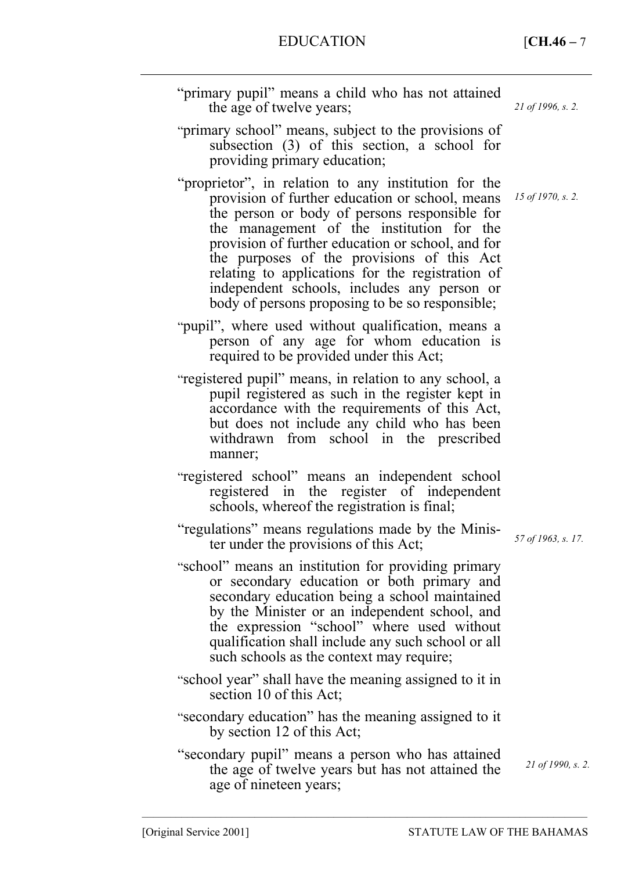EDUCATION [**CH.46 –** 7

| 21 of 1996, s. 2.  | "primary pupil" means a child who has not attained<br>the age of twelve years;                                                                                                                                                                                                                                                                                                                                                                                 |
|--------------------|----------------------------------------------------------------------------------------------------------------------------------------------------------------------------------------------------------------------------------------------------------------------------------------------------------------------------------------------------------------------------------------------------------------------------------------------------------------|
|                    | "primary school" means, subject to the provisions of<br>subsection (3) of this section, a school for<br>providing primary education;                                                                                                                                                                                                                                                                                                                           |
| 15 of 1970, s. 2.  | "proprietor", in relation to any institution for the<br>provision of further education or school, means<br>the person or body of persons responsible for<br>the management of the institution for the<br>provision of further education or school, and for<br>the purposes of the provisions of this Act<br>relating to applications for the registration of<br>independent schools, includes any person or<br>body of persons proposing to be so responsible; |
|                    | "pupil", where used without qualification, means a<br>person of any age for whom education is<br>required to be provided under this Act;                                                                                                                                                                                                                                                                                                                       |
|                    | "registered pupil" means, in relation to any school, a<br>pupil registered as such in the register kept in<br>accordance with the requirements of this Act,<br>but does not include any child who has been<br>withdrawn<br>school in the prescribed<br>from<br>manner;                                                                                                                                                                                         |
|                    | "registered school" means an independent school<br>registered in the register of independent<br>schools, whereof the registration is final;                                                                                                                                                                                                                                                                                                                    |
| 57 of 1963, s. 17. | "regulations" means regulations made by the Minis-<br>ter under the provisions of this Act;                                                                                                                                                                                                                                                                                                                                                                    |
|                    | "school" means an institution for providing primary<br>or secondary education or both primary and<br>secondary education being a school maintained<br>by the Minister or an independent school, and<br>the expression "school" where used without<br>qualification shall include any such school or all<br>such schools as the context may require;                                                                                                            |
|                    | "school year" shall have the meaning assigned to it in<br>section 10 of this Act;                                                                                                                                                                                                                                                                                                                                                                              |
|                    | "secondary education" has the meaning assigned to it<br>by section 12 of this Act;                                                                                                                                                                                                                                                                                                                                                                             |
| 21 of 1990, s. 2.  | "secondary pupil" means a person who has attained<br>the age of twelve years but has not attained the<br>age of nineteen years;                                                                                                                                                                                                                                                                                                                                |
|                    |                                                                                                                                                                                                                                                                                                                                                                                                                                                                |

–––––––––––––––––––––––––––––––––––––––––––––––––––––––––––––––––––––––––––––––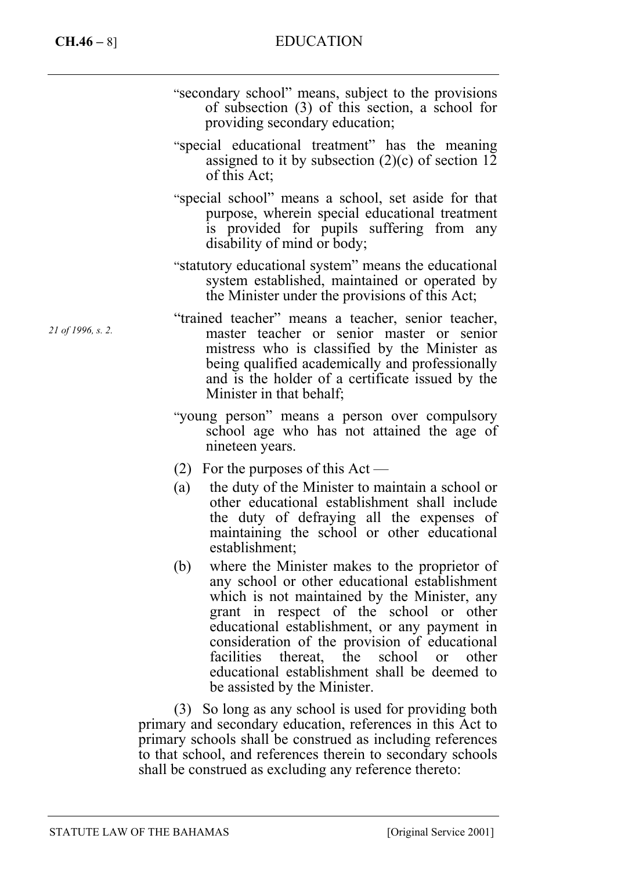- "secondary school" means, subject to the provisions of subsection (3) of this section, a school for providing secondary education;
- "special educational treatment" has the meaning assigned to it by subsection  $(2)(c)$  of section 12 of this Act;
- "special school" means a school, set aside for that purpose, wherein special educational treatment is provided for pupils suffering from any disability of mind or body;
- "statutory educational system" means the educational system established, maintained or operated by the Minister under the provisions of this Act;
- "trained teacher" means a teacher, senior teacher, master teacher or senior master or senior mistress who is classified by the Minister as being qualified academically and professionally and is the holder of a certificate issued by the Minister in that behalf;
	- "young person" means a person over compulsory school age who has not attained the age of nineteen years.
	- (2) For the purposes of this  $Act$  —
	- (a) the duty of the Minister to maintain a school or other educational establishment shall include the duty of defraying all the expenses of maintaining the school or other educational establishment;
	- (b) where the Minister makes to the proprietor of any school or other educational establishment which is not maintained by the Minister, any grant in respect of the school or other educational establishment, or any payment in consideration of the provision of educational facilities thereat, the school or other educational establishment shall be deemed to be assisted by the Minister.

(3) So long as any school is used for providing both primary and secondary education, references in this Act to primary schools shall be construed as including references to that school, and references therein to secondary schools shall be construed as excluding any reference thereto:

*21 of 1996, s. 2.*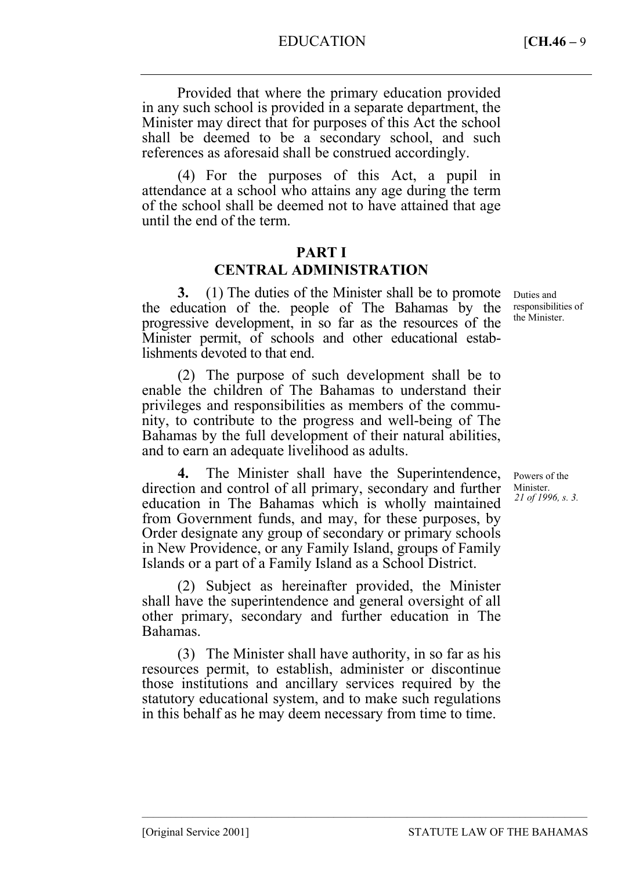Provided that where the primary education provided in any such school is provided in a separate department, the Minister may direct that for purposes of this Act the school shall be deemed to be a secondary school, and such references as aforesaid shall be construed accordingly.

(4) For the purposes of this Act, a pupil in attendance at a school who attains any age during the term of the school shall be deemed not to have attained that age until the end of the term.

# **PART I CENTRAL ADMINISTRATION**

**3.** (1) The duties of the Minister shall be to promote the education of the. people of The Bahamas by the progressive development, in so far as the resources of the Minister permit, of schools and other educational establishments devoted to that end.

(2) The purpose of such development shall be to enable the children of The Bahamas to understand their privileges and responsibilities as members of the community, to contribute to the progress and well-being of The Bahamas by the full development of their natural abilities, and to earn an adequate livelihood as adults.

**4.** The Minister shall have the Superintendence, direction and control of all primary, secondary and further education in The Bahamas which is wholly maintained from Government funds, and may, for these purposes, by Order designate any group of secondary or primary schools in New Providence, or any Family Island, groups of Family Islands or a part of a Family Island as a School District.

(2) Subject as hereinafter provided, the Minister shall have the superintendence and general oversight of all other primary, secondary and further education in The Bahamas.

(3) The Minister shall have authority, in so far as his resources permit, to establish, administer or discontinue those institutions and ancillary services required by the statutory educational system, and to make such regulations in this behalf as he may deem necessary from time to time.

–––––––––––––––––––––––––––––––––––––––––––––––––––––––––––––––––––––––––––––––

Duties and responsibilities of the Minister.

Powers of the Minister. *21 of 1996, s. 3.*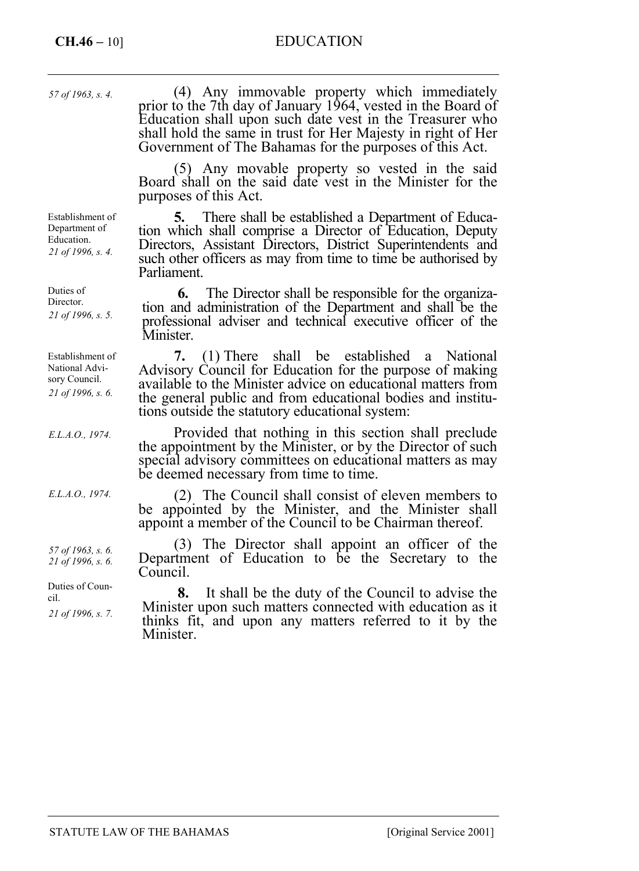# **CH.46 –** 10] EDUCATION

*57 of 1963, s. 4.*

Establishment of Department of Education. *21 of 1996, s. 4.* 

Duties of Director. *21 of 1996, s. 5.* 

| Establishment of  |
|-------------------|
| National Advi-    |
| sory Council.     |
| 21 of 1996, s. 6. |

*E.L.A.O., 1974.* 

*E.L.A.O., 1974.* 

*57 of 1963, s. 6. 21 of 1996, s. 6.* 

*21 of 1996, s. 7.* 

Duties of Coun-

cil.

(4) Any immovable property which immediately prior to the 7th day of January 1964, vested in the Board of Education shall upon such date vest in the Treasurer who shall hold the same in trust for Her Majesty in right of Her Government of The Bahamas for the purposes of this Act.

(5) Any movable property so vested in the said Board shall on the said date vest in the Minister for the purposes of this Act.

**5.** There shall be established a Department of Education which shall comprise a Director of Education, Deputy Directors, Assistant Directors, District Superintendents and such other officers as may from time to time be authorised by Parliament.

**6.** The Director shall be responsible for the organization and administration of the Department and shall be the professional adviser and technical executive officer of the Minister.

**7.** (1) There shall be established a National Advisory Council for Education for the purpose of making available to the Minister advice on educational matters from the general public and from educational bodies and institutions outside the statutory educational system:

Provided that nothing in this section shall preclude the appointment by the Minister, or by the Director of such special advisory committees on educational matters as may be deemed necessary from time to time.

(2) The Council shall consist of eleven members to be appointed by the Minister, and the Minister shall appoint a member of the Council to be Chairman thereof.

(3) The Director shall appoint an officer of the Department of Education to be the Secretary to the Council.

**8.** It shall be the duty of the Council to advise the Minister upon such matters connected with education as it thinks fit, and upon any matters referred to it by the Minister.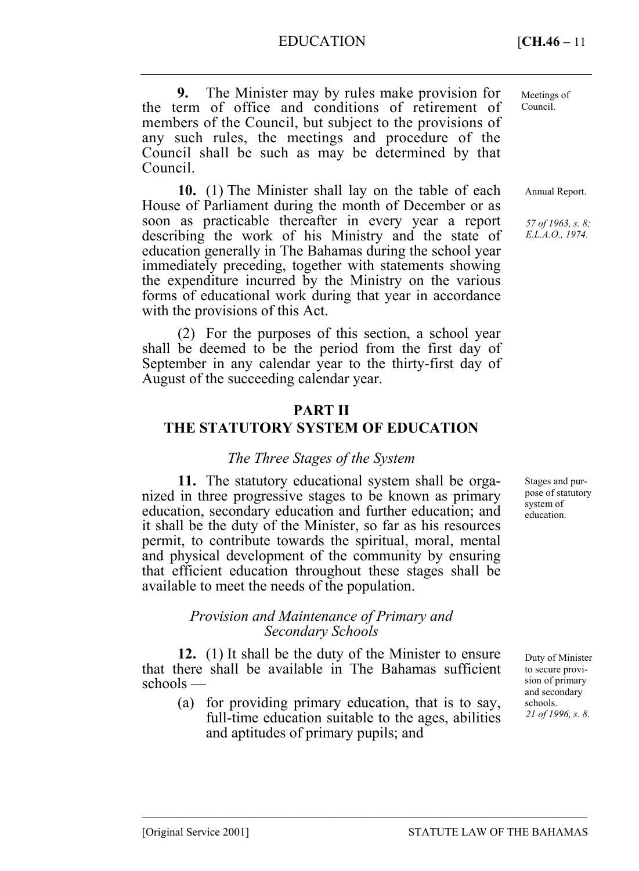**9.** The Minister may by rules make provision for the term of office and conditions of retirement of members of the Council, but subject to the provisions of any such rules, the meetings and procedure of the Council shall be such as may be determined by that Council.

**10.** (1) The Minister shall lay on the table of each House of Parliament during the month of December or as soon as practicable thereafter in every year a report describing the work of his Ministry and the state of education generally in The Bahamas during the school year immediately preceding, together with statements showing the expenditure incurred by the Ministry on the various forms of educational work during that year in accordance with the provisions of this Act.

(2) For the purposes of this section, a school year shall be deemed to be the period from the first day of September in any calendar year to the thirty-first day of August of the succeeding calendar year.

## **PART II**

## **THE STATUTORY SYSTEM OF EDUCATION**

#### *The Three Stages of the System*

**11.** The statutory educational system shall be organized in three progressive stages to be known as primary education, secondary education and further education; and it shall be the duty of the Minister, so far as his resources permit, to contribute towards the spiritual, moral, mental and physical development of the community by ensuring that efficient education throughout these stages shall be available to meet the needs of the population.

#### *Provision and Maintenance of Primary and Secondary Schools*

**12.** (1) It shall be the duty of the Minister to ensure that there shall be available in The Bahamas sufficient schools —

(a) for providing primary education, that is to say, full-time education suitable to the ages, abilities and aptitudes of primary pupils; and

–––––––––––––––––––––––––––––––––––––––––––––––––––––––––––––––––––––––––––––––

Meetings of Council.

Annual Report.

*57 of 1963, s. 8; E.L.A.O., 1974.* 

Stages and purpose of statutory system of education.

Duty of Minister to secure provision of primary and secondary schools. *21 of 1996, s. 8.*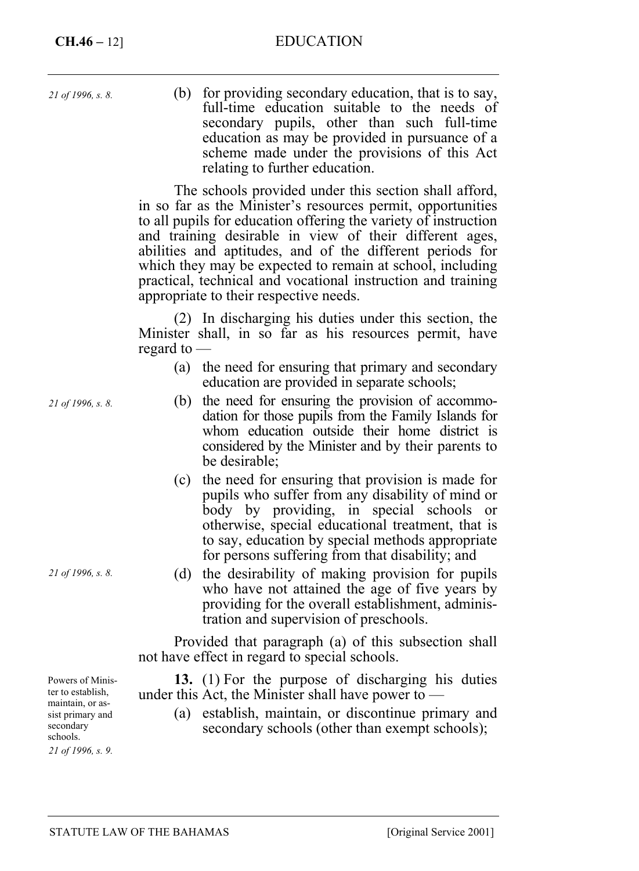*21 of 1996, s. 8.* 

(b) for providing secondary education, that is to say, full-time education suitable to the needs of secondary pupils, other than such full-time education as may be provided in pursuance of a scheme made under the provisions of this Act relating to further education.

The schools provided under this section shall afford, in so far as the Minister's resources permit, opportunities to all pupils for education offering the variety of instruction and training desirable in view of their different ages, abilities and aptitudes, and of the different periods for which they may be expected to remain at school, including practical, technical and vocational instruction and training appropriate to their respective needs.

(2) In discharging his duties under this section, the Minister shall, in so far as his resources permit, have regard to —

- (a) the need for ensuring that primary and secondary education are provided in separate schools;
- (b) the need for ensuring the provision of accommodation for those pupils from the Family Islands for whom education outside their home district is considered by the Minister and by their parents to be desirable;
- (c) the need for ensuring that provision is made for pupils who suffer from any disability of mind or body by providing, in special schools or otherwise, special educational treatment, that is to say, education by special methods appropriate for persons suffering from that disability; and
- (d) the desirability of making provision for pupils who have not attained the age of five years by providing for the overall establishment, administration and supervision of preschools.

Provided that paragraph (a) of this subsection shall not have effect in regard to special schools.

**13.** (1) For the purpose of discharging his duties under this Act, the Minister shall have power to —

(a) establish, maintain, or discontinue primary and secondary schools (other than exempt schools);

*21 of 1996, s. 8.* 

*21 of 1996, s. 8.* 

Powers of Minister to establish, maintain, or assist primary and secondary schools. *21 of 1996, s. 9.*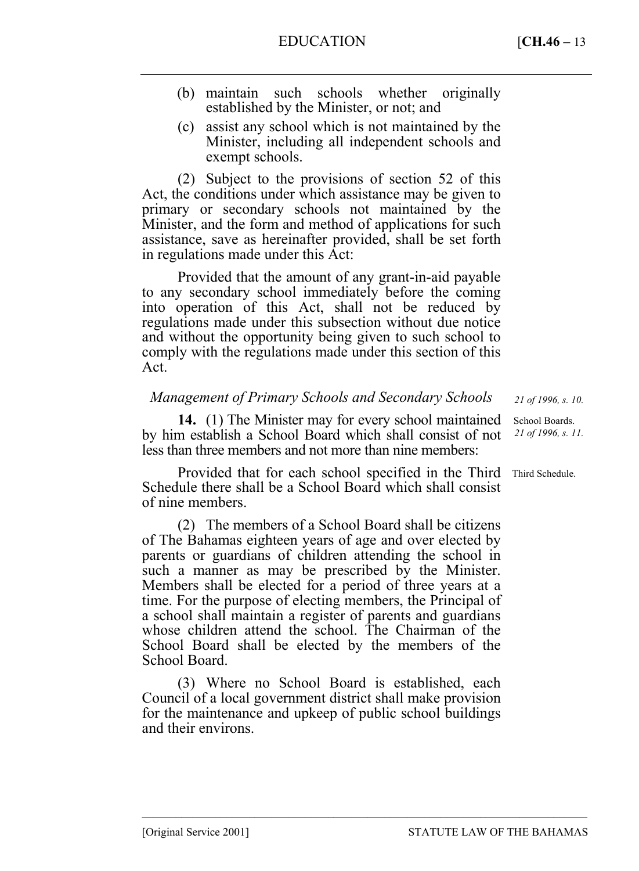- (b) maintain such schools whether originally established by the Minister, or not; and
- (c) assist any school which is not maintained by the Minister, including all independent schools and exempt schools.

(2) Subject to the provisions of section 52 of this Act, the conditions under which assistance may be given to primary or secondary schools not maintained by the Minister, and the form and method of applications for such assistance, save as hereinafter provided, shall be set forth in regulations made under this Act:

Provided that the amount of any grant-in-aid payable to any secondary school immediately before the coming into operation of this Act, shall not be reduced by regulations made under this subsection without due notice and without the opportunity being given to such school to comply with the regulations made under this section of this Act.

## *Management of Primary Schools and Secondary Schools*

**14.** (1) The Minister may for every school maintained by him establish a School Board which shall consist of not less than three members and not more than nine members:

Provided that for each school specified in the Third Schedule there shall be a School Board which shall consist of nine members.

(2) The members of a School Board shall be citizens of The Bahamas eighteen years of age and over elected by parents or guardians of children attending the school in such a manner as may be prescribed by the Minister. Members shall be elected for a period of three years at a time. For the purpose of electing members, the Principal of a school shall maintain a register of parents and guardians whose children attend the school. The Chairman of the School Board shall be elected by the members of the School Board.

(3) Where no School Board is established, each Council of a local government district shall make provision for the maintenance and upkeep of public school buildings and their environs.

–––––––––––––––––––––––––––––––––––––––––––––––––––––––––––––––––––––––––––––––

*21 of 1996, s. 10.* 

School Boards. *21 of 1996, s. 11.* 

Third Schedule.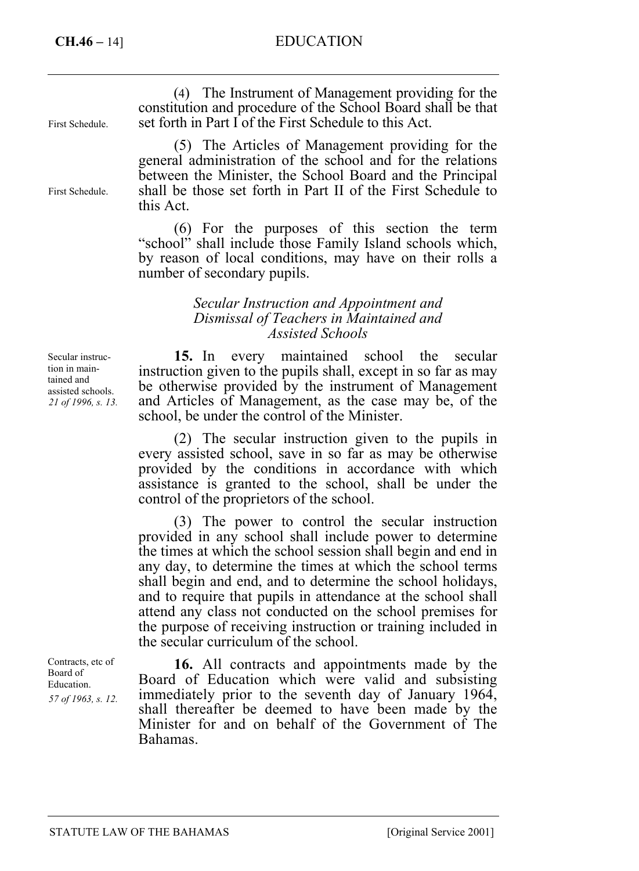# **CH.46 –** 14] EDUCATION

| (4) The Instrument of Management providing for the<br>constitution and procedure of the School Board shall be that<br>set forth in Part I of the First Schedule to this Act.                                                                                                     |
|----------------------------------------------------------------------------------------------------------------------------------------------------------------------------------------------------------------------------------------------------------------------------------|
| (5) The Articles of Management providing for the<br>general administration of the school and for the relations<br>between the Minister, the School Board and the Principal<br>shall be those set forth in Part II of the First Schedule to<br>this Act.                          |
| (6) For the purposes of this section the term<br>"school" shall include those Family Island schools which,<br>by reason of local conditions, may have on their rolls a<br>number of secondary pupils.                                                                            |
| Secular Instruction and Appointment and<br>Dismissal of Teachers in Maintained and<br><b>Assisted Schools</b>                                                                                                                                                                    |
| 15. In every maintained school the secular<br>instruction given to the pupils shall, except in so far as may<br>be otherwise provided by the instrument of Management<br>and Articles of Management, as the case may be, of the<br>school, be under the control of the Minister. |
| (2) The secular instruction given to the pupils in<br>every assisted school, save in so far as may be otherwise<br>provided by the conditions in accordance with which<br>assistance is granted to the school, shall be under the<br>control of the proprietors of the school.   |
|                                                                                                                                                                                                                                                                                  |

(3) The power to control the secular instruction provided in any school shall include power to determine the times at which the school session shall begin and end in any day, to determine the times at which the school terms shall begin and end, and to determine the school holidays, and to require that pupils in attendance at the school shall attend any class not conducted on the school premises for the purpose of receiving instruction or training included in the secular curriculum of the school.

**16.** All contracts and appointments made by the Board of Education which were valid and subsisting immediately prior to the seventh day of January 1964, shall thereafter be deemed to have been made by the Minister for and on behalf of the Government of The Bahamas.

Contracts, etc of Board of Education. *57 of 1963, s. 12.*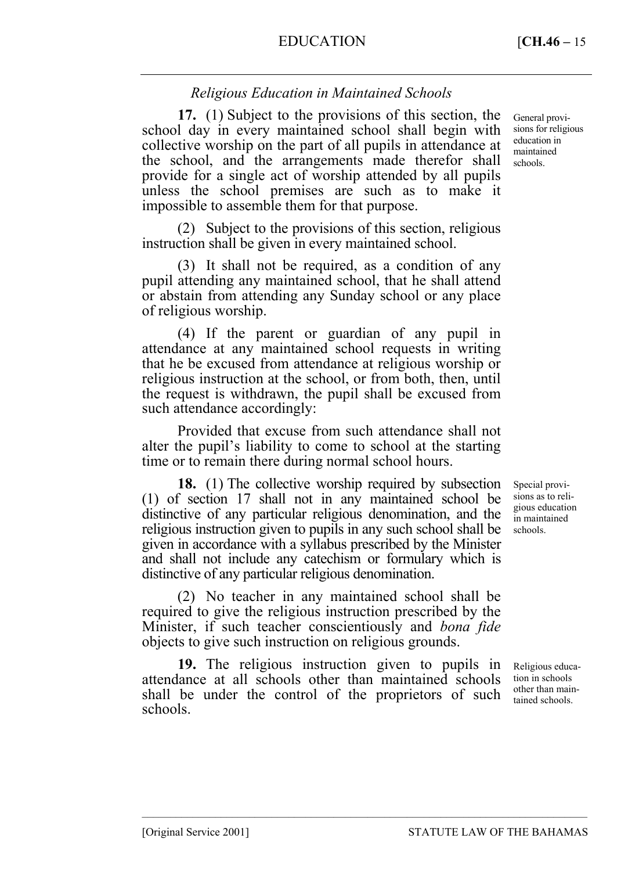# *Religious Education in Maintained Schools*

**17.** (1) Subject to the provisions of this section, the school day in every maintained school shall begin with collective worship on the part of all pupils in attendance at the school, and the arrangements made therefor shall provide for a single act of worship attended by all pupils unless the school premises are such as to make it impossible to assemble them for that purpose.

(2) Subject to the provisions of this section, religious instruction shall be given in every maintained school.

(3) It shall not be required, as a condition of any pupil attending any maintained school, that he shall attend or abstain from attending any Sunday school or any place of religious worship.

(4) If the parent or guardian of any pupil in attendance at any maintained school requests in writing that he be excused from attendance at religious worship or religious instruction at the school, or from both, then, until the request is withdrawn, the pupil shall be excused from such attendance accordingly:

Provided that excuse from such attendance shall not alter the pupil's liability to come to school at the starting time or to remain there during normal school hours.

**18.** (1) The collective worship required by subsection (1) of section 17 shall not in any maintained school be distinctive of any particular religious denomination, and the religious instruction given to pupils in any such school shall be given in accordance with a syllabus prescribed by the Minister and shall not include any catechism or formulary which is distinctive of any particular religious denomination.

(2) No teacher in any maintained school shall be required to give the religious instruction prescribed by the Minister, if such teacher conscientiously and *bona fide* objects to give such instruction on religious grounds.

**19.** The religious instruction given to pupils in attendance at all schools other than maintained schools shall be under the control of the proprietors of such schools.

–––––––––––––––––––––––––––––––––––––––––––––––––––––––––––––––––––––––––––––––

General provisions for religious education in maintained schools.

Special provisions as to religious education in maintained schools.

Religious education in schools other than maintained schools.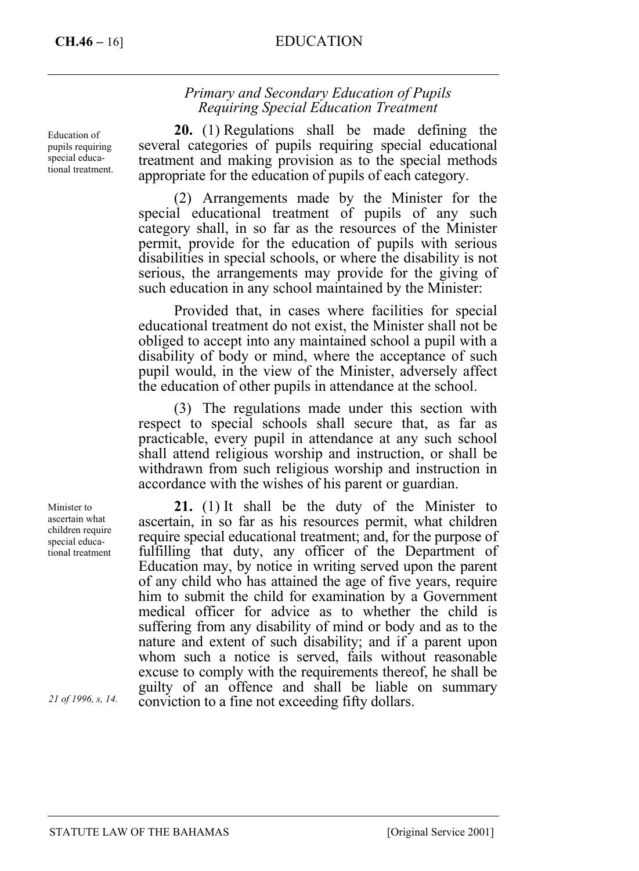# **CH.46 –** 16] EDUCATION

## *Primary and Secondary Education of Pupils Requiring Special Education Treatment*

**20.** (1) Regulations shall be made defining the several categories of pupils requiring special educational treatment and making provision as to the special methods appropriate for the education of pupils of each category.

(2) Arrangements made by the Minister for the special educational treatment of pupils of any such category shall, in so far as the resources of the Minister permit, provide for the education of pupils with serious disabilities in special schools, or where the disability is not serious, the arrangements may provide for the giving of such education in any school maintained by the Minister:

Provided that, in cases where facilities for special educational treatment do not exist, the Minister shall not be obliged to accept into any maintained school a pupil with a disability of body or mind, where the acceptance of such pupil would, in the view of the Minister, adversely affect the education of other pupils in attendance at the school.

(3) The regulations made under this section with respect to special schools shall secure that, as far as practicable, every pupil in attendance at any such school shall attend religious worship and instruction, or shall be withdrawn from such religious worship and instruction in accordance with the wishes of his parent or guardian.

**21.** (1) It shall be the duty of the Minister to ascertain, in so far as his resources permit, what children require special educational treatment; and, for the purpose of fulfilling that duty, any officer of the Department of Education may, by notice in writing served upon the parent of any child who has attained the age of five years, require him to submit the child for examination by a Government medical officer for advice as to whether the child is suffering from any disability of mind or body and as to the nature and extent of such disability; and if a parent upon whom such a notice is served, fails without reasonable excuse to comply with the requirements thereof, he shall be guilty of an offence and shall be liable on summary conviction to a fine not exceeding fifty dollars.

Education of pupils requiring special educational treatment.

Minister to ascertain what children require special educational treatment

*21 of 1996, s, 14.*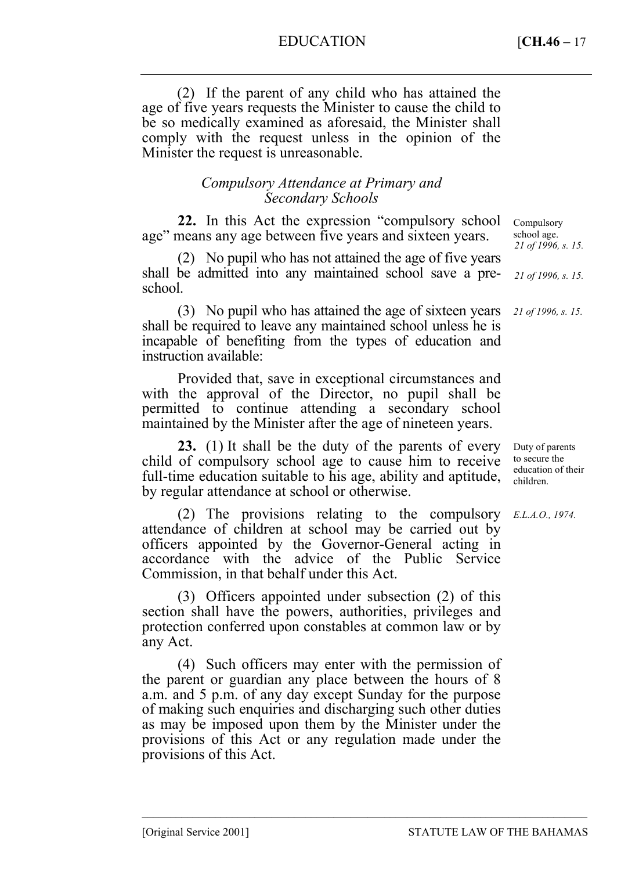EDUCATION [**CH.46 –** 17

(2) If the parent of any child who has attained the age of five years requests the Minister to cause the child to be so medically examined as aforesaid, the Minister shall comply with the request unless in the opinion of the Minister the request is unreasonable.

## *Compulsory Attendance at Primary and Secondary Schools*

**22.** In this Act the expression "compulsory school age" means any age between five years and sixteen years. Compulsory

(2) No pupil who has not attained the age of five years shall be admitted into any maintained school save a preschool.

(3) No pupil who has attained the age of sixteen years shall be required to leave any maintained school unless he is incapable of benefiting from the types of education and instruction available:

Provided that, save in exceptional circumstances and with the approval of the Director, no pupil shall be permitted to continue attending a secondary school maintained by the Minister after the age of nineteen years.

**23.** (1) It shall be the duty of the parents of every child of compulsory school age to cause him to receive full-time education suitable to his age, ability and aptitude, by regular attendance at school or otherwise.

(2) The provisions relating to the compulsory *E.L.A.O., 1974.* attendance of children at school may be carried out by officers appointed by the Governor-General acting in accordance with the advice of the Public Service Commission, in that behalf under this Act.

(3) Officers appointed under subsection (2) of this section shall have the powers, authorities, privileges and protection conferred upon constables at common law or by any Act.

(4) Such officers may enter with the permission of the parent or guardian any place between the hours of 8 a.m. and 5 p.m. of any day except Sunday for the purpose of making such enquiries and discharging such other duties as may be imposed upon them by the Minister under the provisions of this Act or any regulation made under the provisions of this Act.

–––––––––––––––––––––––––––––––––––––––––––––––––––––––––––––––––––––––––––––––

school age. *21 of 1996, s. 15. 21 of 1996, s. 15.* 

*21 of 1996, s. 15.* 

Duty of parents to secure the education of their children.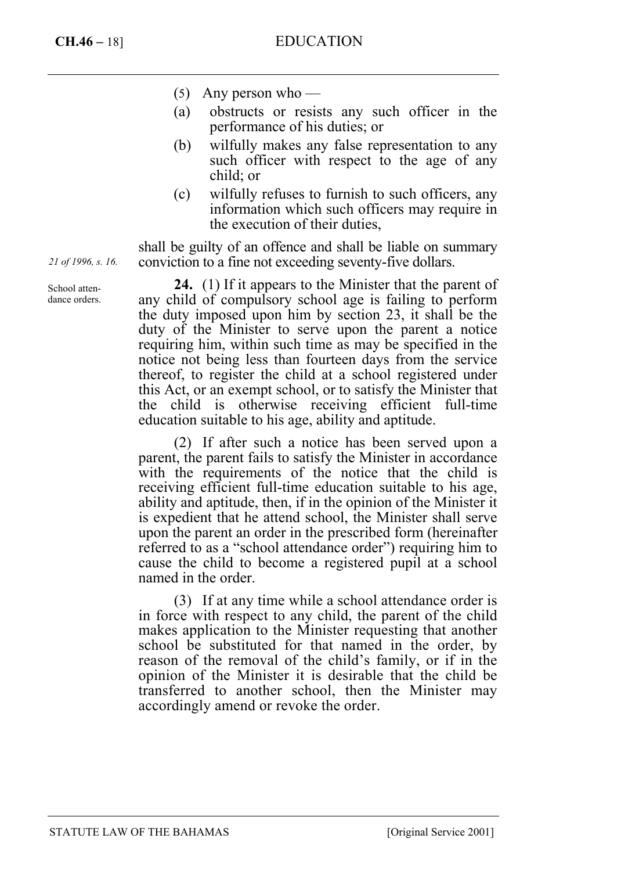- (5) Any person who —
- (a) obstructs or resists any such officer in the performance of his duties; or
- (b) wilfully makes any false representation to any such officer with respect to the age of any child; or
- (c) wilfully refuses to furnish to such officers, any information which such officers may require in the execution of their duties,

shall be guilty of an offence and shall be liable on summary conviction to a fine not exceeding seventy-five dollars.

**24.** (1) If it appears to the Minister that the parent of any child of compulsory school age is failing to perform the duty imposed upon him by section 23, it shall be the duty of the Minister to serve upon the parent a notice requiring him, within such time as may be specified in the notice not being less than fourteen days from the service thereof, to register the child at a school registered under this Act, or an exempt school, or to satisfy the Minister that the child is otherwise receiving efficient full-time education suitable to his age, ability and aptitude.

(2) If after such a notice has been served upon a parent, the parent fails to satisfy the Minister in accordance with the requirements of the notice that the child is receiving efficient full-time education suitable to his age, ability and aptitude, then, if in the opinion of the Minister it is expedient that he attend school, the Minister shall serve upon the parent an order in the prescribed form (hereinafter referred to as a "school attendance order") requiring him to cause the child to become a registered pupil at a school named in the order.

(3) If at any time while a school attendance order is in force with respect to any child, the parent of the child makes application to the Minister requesting that another school be substituted for that named in the order, by reason of the removal of the child's family, or if in the opinion of the Minister it is desirable that the child be transferred to another school, then the Minister may accordingly amend or revoke the order.

*21 of 1996, s. 16.* 

School attendance orders.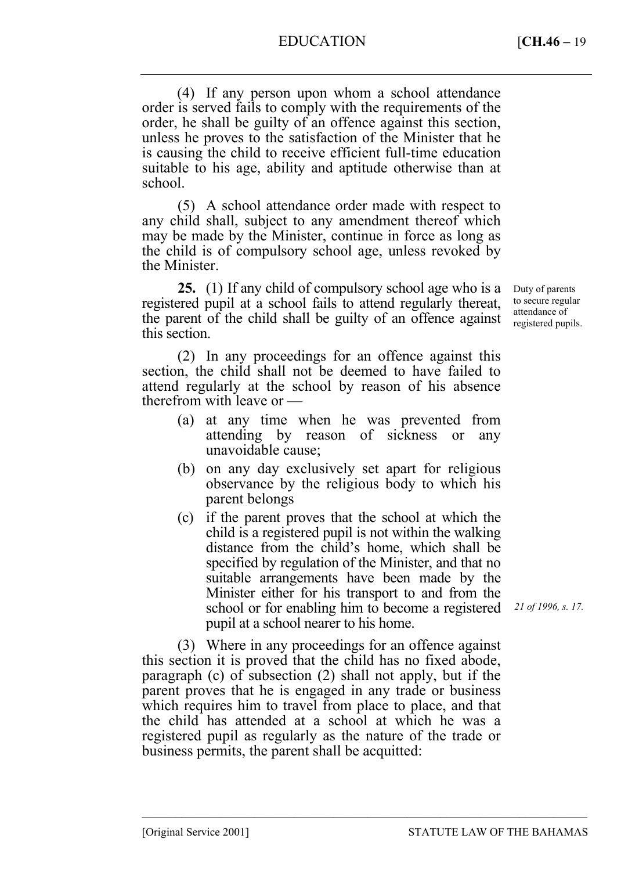# EDUCATION [**CH.46 –** 19

(4) If any person upon whom a school attendance order is served fails to comply with the requirements of the order, he shall be guilty of an offence against this section, unless he proves to the satisfaction of the Minister that he is causing the child to receive efficient full-time education suitable to his age, ability and aptitude otherwise than at school.

(5) A school attendance order made with respect to any child shall, subject to any amendment thereof which may be made by the Minister, continue in force as long as the child is of compulsory school age, unless revoked by the Minister.

**25.** (1) If any child of compulsory school age who is a registered pupil at a school fails to attend regularly thereat, the parent of the child shall be guilty of an offence against this section.

(2) In any proceedings for an offence against this section, the child shall not be deemed to have failed to attend regularly at the school by reason of his absence therefrom with leave or —

- (a) at any time when he was prevented from attending by reason of sickness or any unavoidable cause;
- (b) on any day exclusively set apart for religious observance by the religious body to which his parent belongs
- (c) if the parent proves that the school at which the child is a registered pupil is not within the walking distance from the child's home, which shall be specified by regulation of the Minister, and that no suitable arrangements have been made by the Minister either for his transport to and from the school or for enabling him to become a registered pupil at a school nearer to his home.

(3) Where in any proceedings for an offence against this section it is proved that the child has no fixed abode, paragraph (c) of subsection (2) shall not apply, but if the parent proves that he is engaged in any trade or business which requires him to travel from place to place, and that the child has attended at a school at which he was a registered pupil as regularly as the nature of the trade or business permits, the parent shall be acquitted:

–––––––––––––––––––––––––––––––––––––––––––––––––––––––––––––––––––––––––––––––

Duty of parents to secure regular attendance of registered pupils.

*21 of 1996, s. 17.*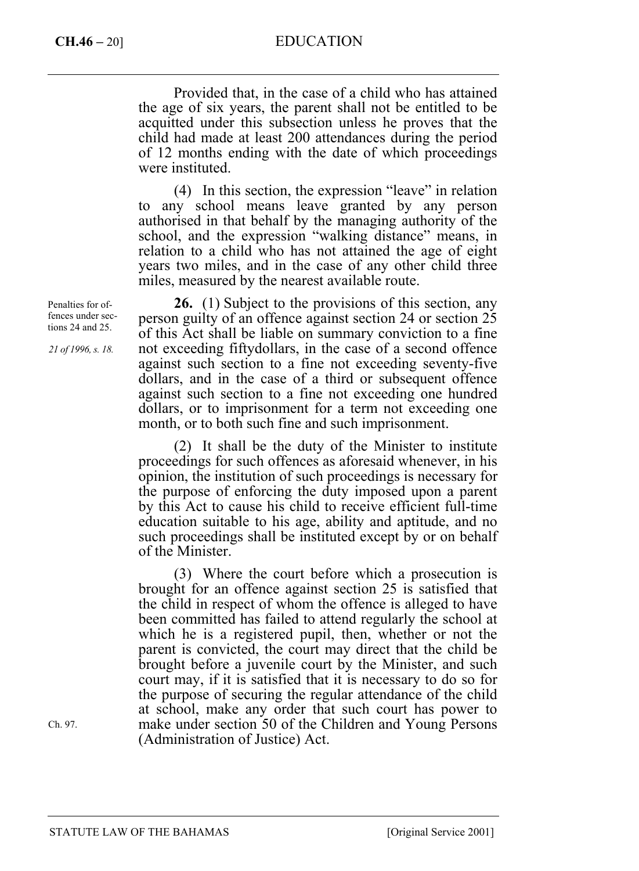# **CH.46 –** 20] EDUCATION

Provided that, in the case of a child who has attained the age of six years, the parent shall not be entitled to be acquitted under this subsection unless he proves that the child had made at least 200 attendances during the period of 12 months ending with the date of which proceedings were instituted.

(4) In this section, the expression "leave" in relation to any school means leave granted by any person authorised in that behalf by the managing authority of the school, and the expression "walking distance" means, in relation to a child who has not attained the age of eight years two miles, and in the case of any other child three miles, measured by the nearest available route.

**26.** (1) Subject to the provisions of this section, any person guilty of an offence against section 24 or section 25 of this Act shall be liable on summary conviction to a fine not exceeding fiftydollars, in the case of a second offence against such section to a fine not exceeding seventy-five dollars, and in the case of a third or subsequent offence against such section to a fine not exceeding one hundred dollars, or to imprisonment for a term not exceeding one month, or to both such fine and such imprisonment.

(2) It shall be the duty of the Minister to institute proceedings for such offences as aforesaid whenever, in his opinion, the institution of such proceedings is necessary for the purpose of enforcing the duty imposed upon a parent by this Act to cause his child to receive efficient full-time education suitable to his age, ability and aptitude, and no such proceedings shall be instituted except by or on behalf of the Minister.

(3) Where the court before which a prosecution is brought for an offence against section 25 is satisfied that the child in respect of whom the offence is alleged to have been committed has failed to attend regularly the school at which he is a registered pupil, then, whether or not the parent is convicted, the court may direct that the child be brought before a juvenile court by the Minister, and such court may, if it is satisfied that it is necessary to do so for the purpose of securing the regular attendance of the child at school, make any order that such court has power to make under section 50 of the Children and Young Persons (Administration of Justice) Act.

Penalties for offences under sections 24 and 25.

*21 of 1996, s. 18.* 

Ch. 97.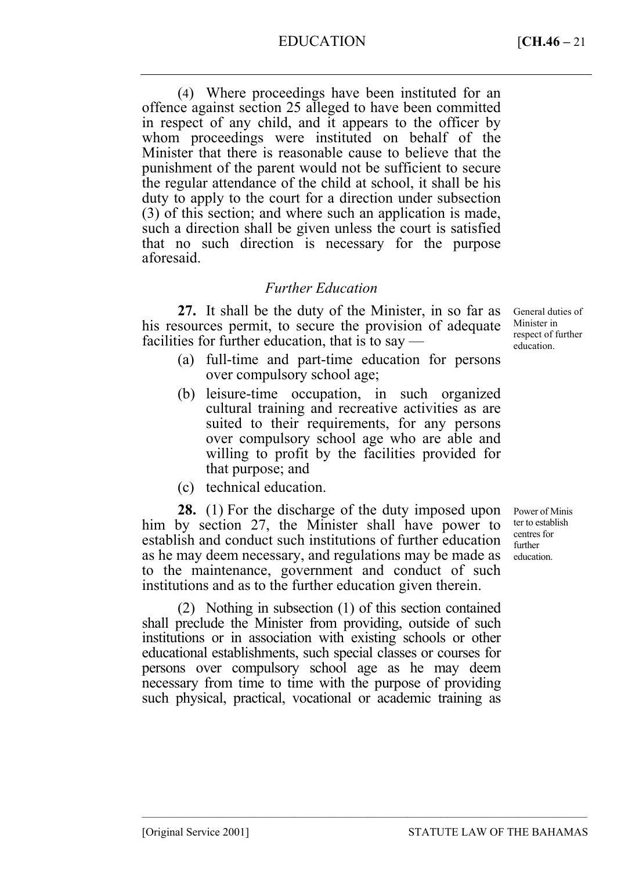EDUCATION [**CH.46 –** 21

(4) Where proceedings have been instituted for an offence against section 25 alleged to have been committed in respect of any child, and it appears to the officer by whom proceedings were instituted on behalf of the Minister that there is reasonable cause to believe that the punishment of the parent would not be sufficient to secure the regular attendance of the child at school, it shall be his duty to apply to the court for a direction under subsection (3) of this section; and where such an application is made, such a direction shall be given unless the court is satisfied that no such direction is necessary for the purpose aforesaid.

## *Further Education*

**27.** It shall be the duty of the Minister, in so far as his resources permit, to secure the provision of adequate facilities for further education, that is to say —

- General duties of Minister in respect of further education.
- (a) full-time and part-time education for persons over compulsory school age;
- (b) leisure-time occupation, in such organized cultural training and recreative activities as are suited to their requirements, for any persons over compulsory school age who are able and willing to profit by the facilities provided for that purpose; and
- (c) technical education.

**28.** (1) For the discharge of the duty imposed upon him by section 27, the Minister shall have power to establish and conduct such institutions of further education as he may deem necessary, and regulations may be made as to the maintenance, government and conduct of such institutions and as to the further education given therein.

(2) Nothing in subsection (1) of this section contained shall preclude the Minister from providing, outside of such institutions or in association with existing schools or other educational establishments, such special classes or courses for persons over compulsory school age as he may deem necessary from time to time with the purpose of providing such physical, practical, vocational or academic training as

–––––––––––––––––––––––––––––––––––––––––––––––––––––––––––––––––––––––––––––––

Power of Minis ter to establish centres for further education.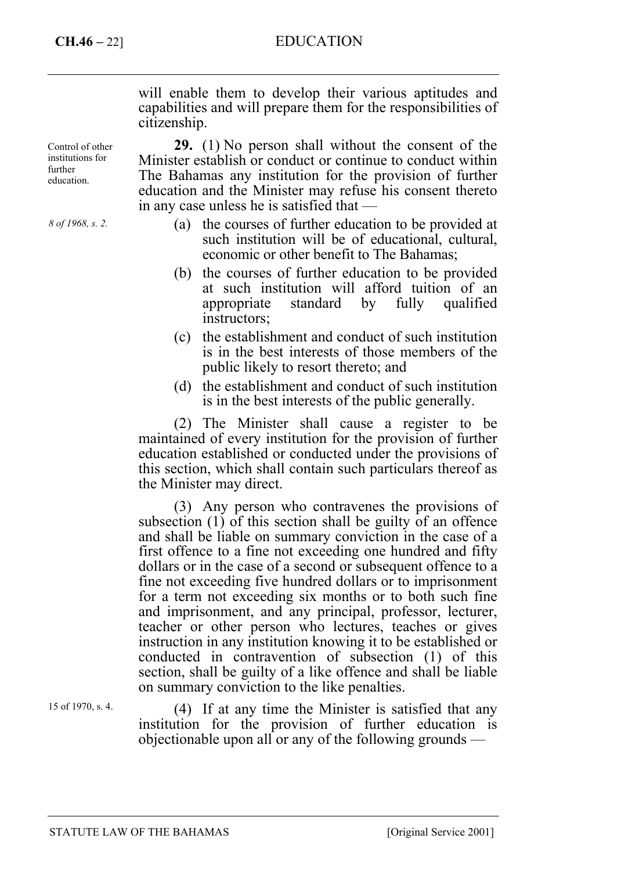# **CH.46 –** 22] EDUCATION

will enable them to develop their various aptitudes and capabilities and will prepare them for the responsibilities of citizenship.

**29.** (1) No person shall without the consent of the Minister establish or conduct or continue to conduct within The Bahamas any institution for the provision of further education and the Minister may refuse his consent thereto in any case unless he is satisfied that —

- (a) the courses of further education to be provided at such institution will be of educational, cultural, economic or other benefit to The Bahamas;
- (b) the courses of further education to be provided at such institution will afford tuition of an appropriate standard by fully qualified instructors;
- (c) the establishment and conduct of such institution is in the best interests of those members of the public likely to resort thereto; and
- (d) the establishment and conduct of such institution is in the best interests of the public generally.

(2) The Minister shall cause a register to be maintained of every institution for the provision of further education established or conducted under the provisions of this section, which shall contain such particulars thereof as the Minister may direct.

(3) Any person who contravenes the provisions of subsection (1) of this section shall be guilty of an offence and shall be liable on summary conviction in the case of a first offence to a fine not exceeding one hundred and fifty dollars or in the case of a second or subsequent offence to a fine not exceeding five hundred dollars or to imprisonment for a term not exceeding six months or to both such fine and imprisonment, and any principal, professor, lecturer, teacher or other person who lectures, teaches or gives instruction in any institution knowing it to be established or conducted in contravention of subsection (1) of this section, shall be guilty of a like offence and shall be liable on summary conviction to the like penalties.

15 of 1970, s. 4.

(4) If at any time the Minister is satisfied that any institution for the provision of further education is objectionable upon all or any of the following grounds —

Control of other institutions for further education.

*8 of 1968, s. 2.*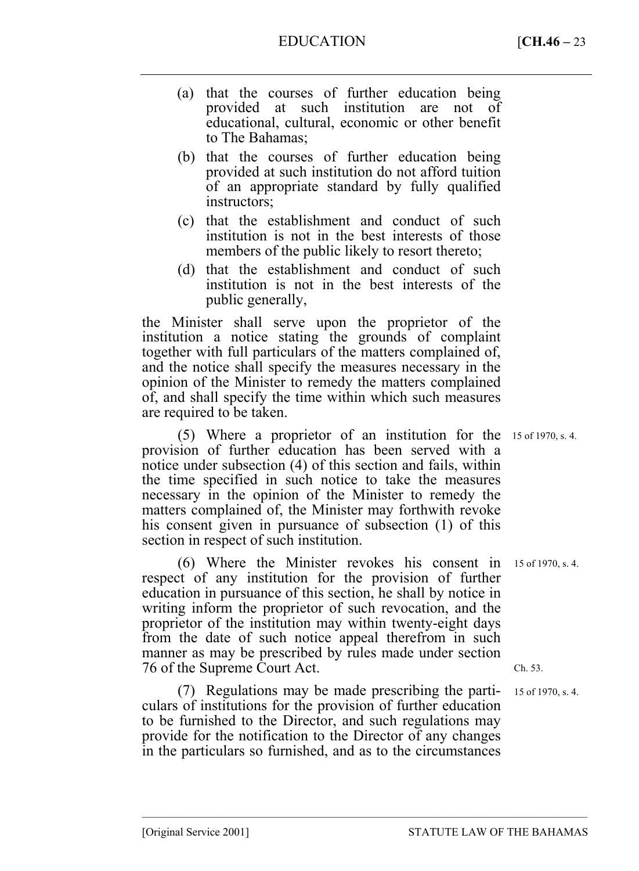- (a) that the courses of further education being provided at such institution are not of educational, cultural, economic or other benefit to The Bahamas;
- (b) that the courses of further education being provided at such institution do not afford tuition of an appropriate standard by fully qualified instructors;
- (c) that the establishment and conduct of such institution is not in the best interests of those members of the public likely to resort thereto;
- (d) that the establishment and conduct of such institution is not in the best interests of the public generally,

the Minister shall serve upon the proprietor of the institution a notice stating the grounds of complaint together with full particulars of the matters complained of, and the notice shall specify the measures necessary in the opinion of the Minister to remedy the matters complained of, and shall specify the time within which such measures are required to be taken.

(5) Where a proprietor of an institution for the 15 of 1970, s. 4. provision of further education has been served with a notice under subsection (4) of this section and fails, within the time specified in such notice to take the measures necessary in the opinion of the Minister to remedy the matters complained of, the Minister may forthwith revoke his consent given in pursuance of subsection (1) of this section in respect of such institution.

(6) Where the Minister revokes his consent in respect of any institution for the provision of further education in pursuance of this section, he shall by notice in writing inform the proprietor of such revocation, and the proprietor of the institution may within twenty-eight days from the date of such notice appeal therefrom in such manner as may be prescribed by rules made under section 76 of the Supreme Court Act.

(7) Regulations may be made prescribing the particulars of institutions for the provision of further education to be furnished to the Director, and such regulations may provide for the notification to the Director of any changes in the particulars so furnished, and as to the circumstances

–––––––––––––––––––––––––––––––––––––––––––––––––––––––––––––––––––––––––––––––

15 of 1970, s. 4.

Ch. 53.

15 of 1970, s. 4.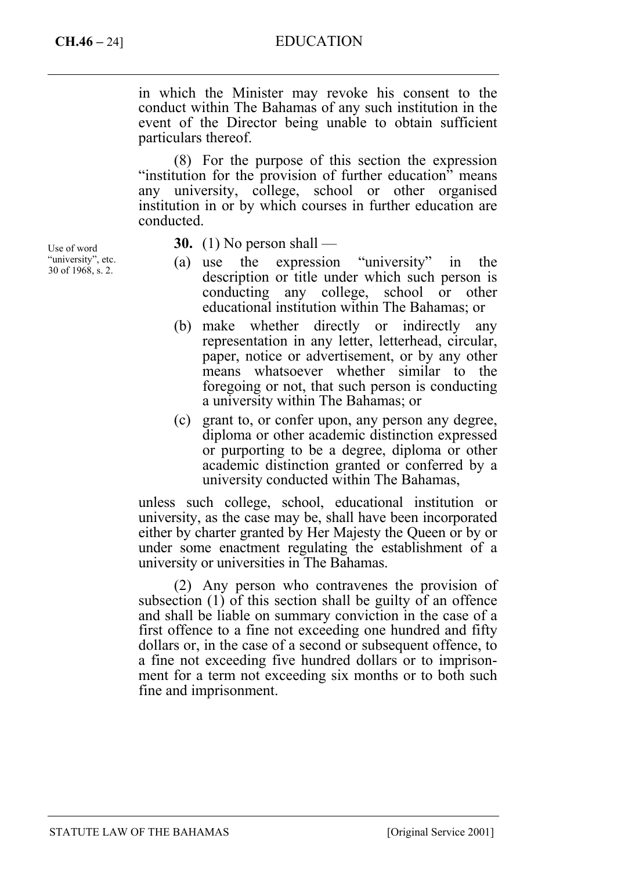# **CH.46 –** 24] EDUCATION

in which the Minister may revoke his consent to the conduct within The Bahamas of any such institution in the event of the Director being unable to obtain sufficient particulars thereof.

(8) For the purpose of this section the expression "institution for the provision of further education" means any university, college, school or other organised institution in or by which courses in further education are conducted.

Use of word "university", etc. 30 of 1968, s. 2.

**30.** (1) No person shall —

- (a) use the expression "university" in the description or title under which such person is conducting any college, school or other educational institution within The Bahamas; or
- (b) make whether directly or indirectly any representation in any letter, letterhead, circular, paper, notice or advertisement, or by any other means whatsoever whether similar to the foregoing or not, that such person is conducting a university within The Bahamas; or
- (c) grant to, or confer upon, any person any degree, diploma or other academic distinction expressed or purporting to be a degree, diploma or other academic distinction granted or conferred by a university conducted within The Bahamas,

unless such college, school, educational institution or university, as the case may be, shall have been incorporated either by charter granted by Her Majesty the Queen or by or under some enactment regulating the establishment of a university or universities in The Bahamas.

(2) Any person who contravenes the provision of subsection (1) of this section shall be guilty of an offence and shall be liable on summary conviction in the case of a first offence to a fine not exceeding one hundred and fifty dollars or, in the case of a second or subsequent offence, to a fine not exceeding five hundred dollars or to imprisonment for a term not exceeding six months or to both such fine and imprisonment.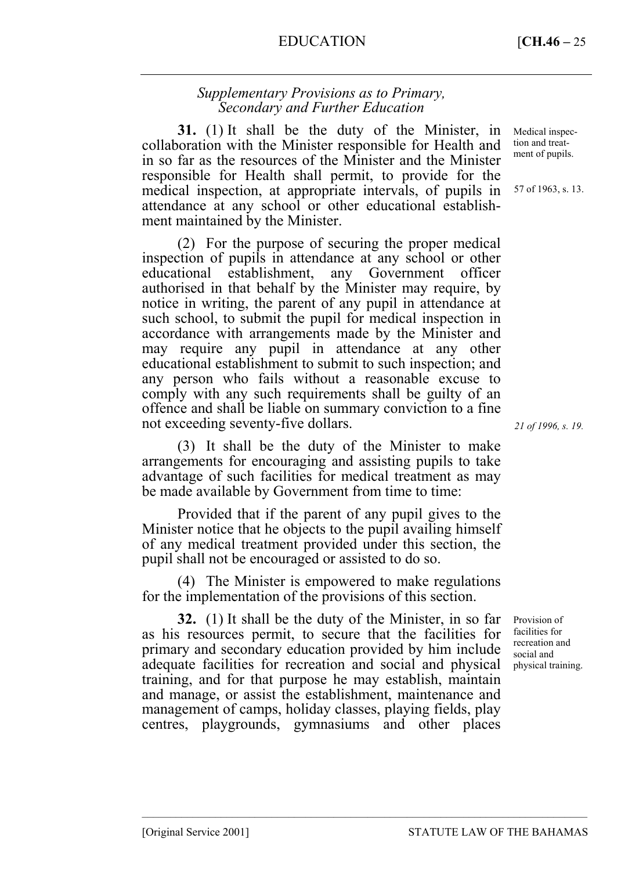# *Supplementary Provisions as to Primary, Secondary and Further Education*

**31.** (1) It shall be the duty of the Minister, in collaboration with the Minister responsible for Health and in so far as the resources of the Minister and the Minister responsible for Health shall permit, to provide for the medical inspection, at appropriate intervals, of pupils in attendance at any school or other educational establishment maintained by the Minister.

(2) For the purpose of securing the proper medical inspection of pupils in attendance at any school or other educational establishment, any Government officer authorised in that behalf by the Minister may require, by notice in writing, the parent of any pupil in attendance at such school, to submit the pupil for medical inspection in accordance with arrangements made by the Minister and may require any pupil in attendance at any other educational establishment to submit to such inspection; and any person who fails without a reasonable excuse to comply with any such requirements shall be guilty of an offence and shall be liable on summary conviction to a fine not exceeding seventy-five dollars.

(3) It shall be the duty of the Minister to make arrangements for encouraging and assisting pupils to take advantage of such facilities for medical treatment as may be made available by Government from time to time:

Provided that if the parent of any pupil gives to the Minister notice that he objects to the pupil availing himself of any medical treatment provided under this section, the pupil shall not be encouraged or assisted to do so.

(4) The Minister is empowered to make regulations for the implementation of the provisions of this section.

**32.** (1) It shall be the duty of the Minister, in so far as his resources permit, to secure that the facilities for primary and secondary education provided by him include adequate facilities for recreation and social and physical training, and for that purpose he may establish, maintain and manage, or assist the establishment, maintenance and management of camps, holiday classes, playing fields, play centres, playgrounds, gymnasiums and other places

–––––––––––––––––––––––––––––––––––––––––––––––––––––––––––––––––––––––––––––––

Medical inspection and treatment of pupils.

57 of 1963, s. 13.

*21 of 1996, s. 19.*

Provision of facilities for recreation and social and physical training.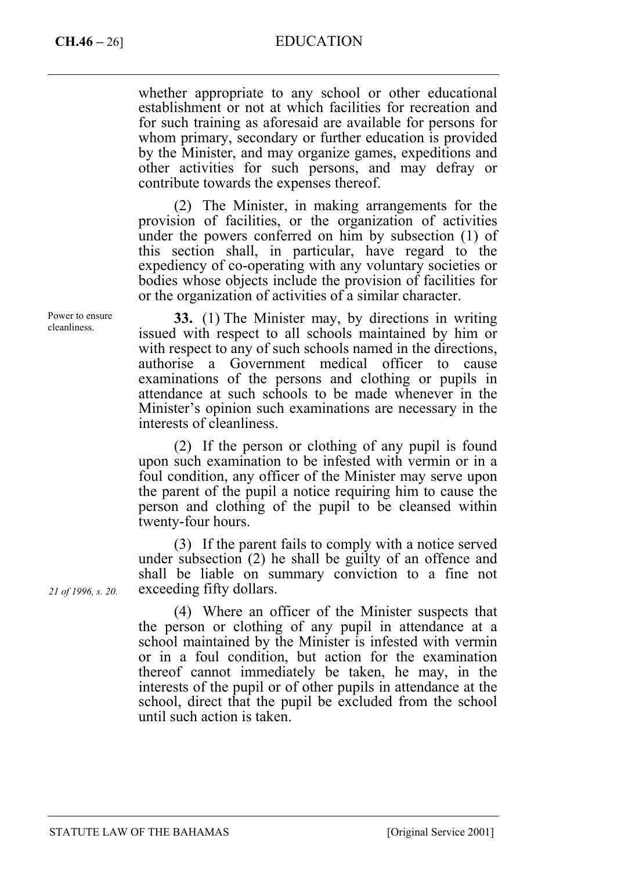# **CH.46 –** 26] EDUCATION

whether appropriate to any school or other educational establishment or not at which facilities for recreation and for such training as aforesaid are available for persons for whom primary, secondary or further education is provided by the Minister, and may organize games, expeditions and other activities for such persons, and may defray or contribute towards the expenses thereof.

(2) The Minister, in making arrangements for the provision of facilities, or the organization of activities under the powers conferred on him by subsection (1) of this section shall, in particular, have regard to the expediency of co-operating with any voluntary societies or bodies whose objects include the provision of facilities for or the organization of activities of a similar character.

**33.** (1) The Minister may, by directions in writing issued with respect to all schools maintained by him or with respect to any of such schools named in the directions, authorise a Government medical officer to cause examinations of the persons and clothing or pupils in attendance at such schools to be made whenever in the Minister's opinion such examinations are necessary in the interests of cleanliness.

(2) If the person or clothing of any pupil is found upon such examination to be infested with vermin or in a foul condition, any officer of the Minister may serve upon the parent of the pupil a notice requiring him to cause the person and clothing of the pupil to be cleansed within twenty-four hours.

(3) If the parent fails to comply with a notice served under subsection (2) he shall be guilty of an offence and shall be liable on summary conviction to a fine not exceeding fifty dollars.

(4) Where an officer of the Minister suspects that the person or clothing of any pupil in attendance at a school maintained by the Minister is infested with vermin or in a foul condition, but action for the examination thereof cannot immediately be taken, he may, in the interests of the pupil or of other pupils in attendance at the school, direct that the pupil be excluded from the school until such action is taken.

Power to ensure cleanliness.

*21 of 1996, s. 20.*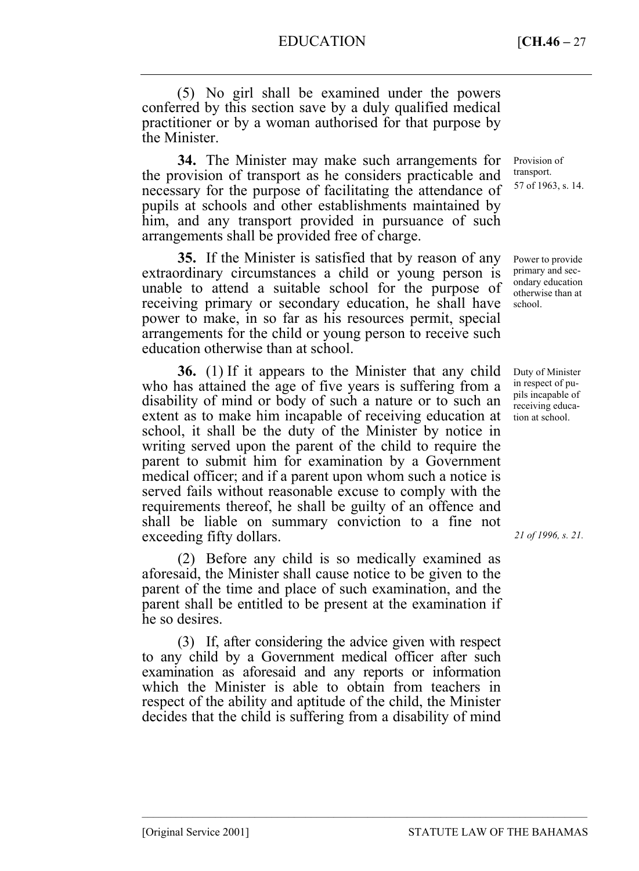(5) No girl shall be examined under the powers conferred by this section save by a duly qualified medical practitioner or by a woman authorised for that purpose by the Minister.

**34.** The Minister may make such arrangements for the provision of transport as he considers practicable and necessary for the purpose of facilitating the attendance of pupils at schools and other establishments maintained by him, and any transport provided in pursuance of such arrangements shall be provided free of charge.

**35.** If the Minister is satisfied that by reason of any extraordinary circumstances a child or young person is unable to attend a suitable school for the purpose of receiving primary or secondary education, he shall have power to make, in so far as his resources permit, special arrangements for the child or young person to receive such education otherwise than at school.

**36.** (1) If it appears to the Minister that any child who has attained the age of five years is suffering from a disability of mind or body of such a nature or to such an extent as to make him incapable of receiving education at school, it shall be the duty of the Minister by notice in writing served upon the parent of the child to require the parent to submit him for examination by a Government medical officer; and if a parent upon whom such a notice is served fails without reasonable excuse to comply with the requirements thereof, he shall be guilty of an offence and shall be liable on summary conviction to a fine not exceeding fifty dollars.

(2) Before any child is so medically examined as aforesaid, the Minister shall cause notice to be given to the parent of the time and place of such examination, and the parent shall be entitled to be present at the examination if he so desires.

(3) If, after considering the advice given with respect to any child by a Government medical officer after such examination as aforesaid and any reports or information which the Minister is able to obtain from teachers in respect of the ability and aptitude of the child, the Minister decides that the child is suffering from a disability of mind

–––––––––––––––––––––––––––––––––––––––––––––––––––––––––––––––––––––––––––––––

Provision of transport. 57 of 1963, s. 14.

Power to provide primary and secondary education otherwise than at school.

Duty of Minister in respect of pupils incapable of receiving education at school.

*21 of 1996, s. 21.*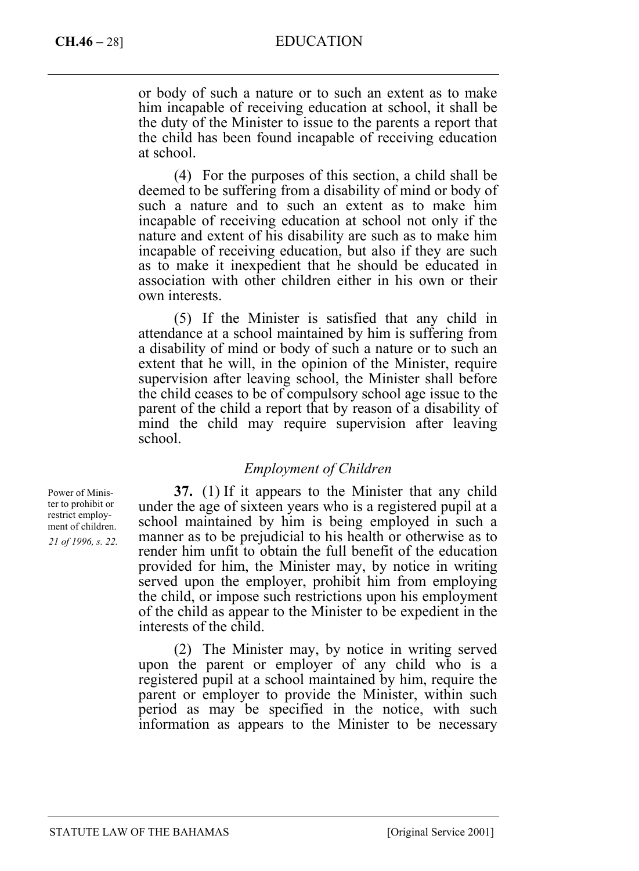# **CH.46 –** 28] EDUCATION

or body of such a nature or to such an extent as to make him incapable of receiving education at school, it shall be the duty of the Minister to issue to the parents a report that the child has been found incapable of receiving education at school.

(4) For the purposes of this section, a child shall be deemed to be suffering from a disability of mind or body of such a nature and to such an extent as to make him incapable of receiving education at school not only if the nature and extent of his disability are such as to make him incapable of receiving education, but also if they are such as to make it inexpedient that he should be educated in association with other children either in his own or their own interests.

(5) If the Minister is satisfied that any child in attendance at a school maintained by him is suffering from a disability of mind or body of such a nature or to such an extent that he will, in the opinion of the Minister, require supervision after leaving school, the Minister shall before the child ceases to be of compulsory school age issue to the parent of the child a report that by reason of a disability of mind the child may require supervision after leaving school.

#### *Employment of Children*

**37.** (1) If it appears to the Minister that any child under the age of sixteen years who is a registered pupil at a school maintained by him is being employed in such a manner as to be prejudicial to his health or otherwise as to render him unfit to obtain the full benefit of the education provided for him, the Minister may, by notice in writing served upon the employer, prohibit him from employing the child, or impose such restrictions upon his employment of the child as appear to the Minister to be expedient in the interests of the child.

(2) The Minister may, by notice in writing served upon the parent or employer of any child who is a registered pupil at a school maintained by him, require the parent or employer to provide the Minister, within such period as may be specified in the notice, with such information as appears to the Minister to be necessary

Power of Minister to prohibit or restrict employment of children. *21 of 1996, s. 22.*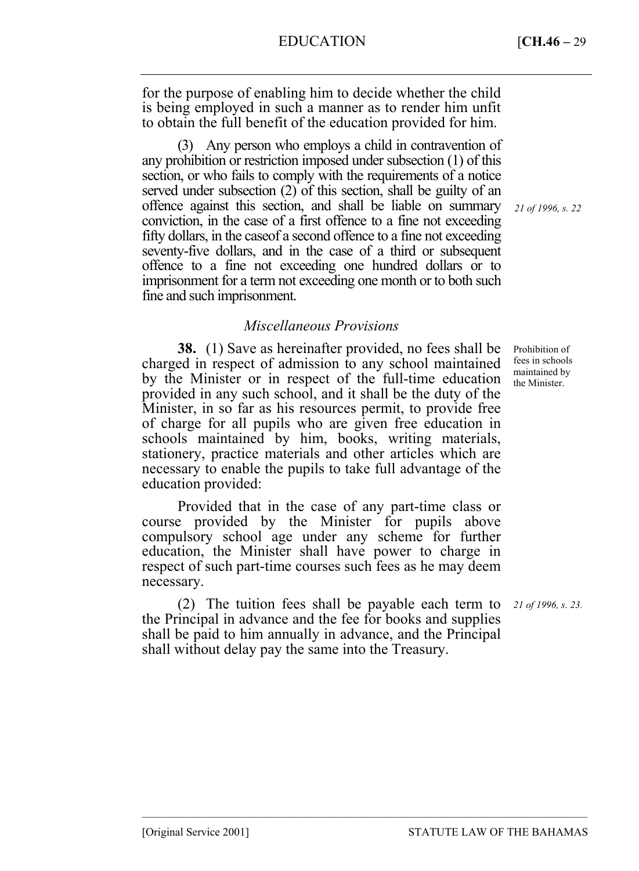for the purpose of enabling him to decide whether the child is being employed in such a manner as to render him unfit to obtain the full benefit of the education provided for him.

(3) Any person who employs a child in contravention of any prohibition or restriction imposed under subsection (1) of this section, or who fails to comply with the requirements of a notice served under subsection (2) of this section, shall be guilty of an offence against this section, and shall be liable on summary conviction, in the case of a first offence to a fine not exceeding fifty dollars, in the caseof a second offence to a fine not exceeding seventy-five dollars, and in the case of a third or subsequent offence to a fine not exceeding one hundred dollars or to imprisonment for a term not exceeding one month or to both such fine and such imprisonment.

# *Miscellaneous Provisions*

**38.** (1) Save as hereinafter provided, no fees shall be charged in respect of admission to any school maintained by the Minister or in respect of the full-time education provided in any such school, and it shall be the duty of the Minister, in so far as his resources permit, to provide free of charge for all pupils who are given free education in schools maintained by him, books, writing materials, stationery, practice materials and other articles which are necessary to enable the pupils to take full advantage of the education provided:

Provided that in the case of any part-time class or course provided by the Minister for pupils above compulsory school age under any scheme for further education, the Minister shall have power to charge in respect of such part-time courses such fees as he may deem necessary.

(2) The tuition fees shall be payable each term to the Principal in advance and the fee for books and supplies shall be paid to him annually in advance, and the Principal shall without delay pay the same into the Treasury.

–––––––––––––––––––––––––––––––––––––––––––––––––––––––––––––––––––––––––––––––

*21 of 1996, s. 22*

Prohibition of fees in schools maintained by the Minister.

*21 of 1996, s. 23.*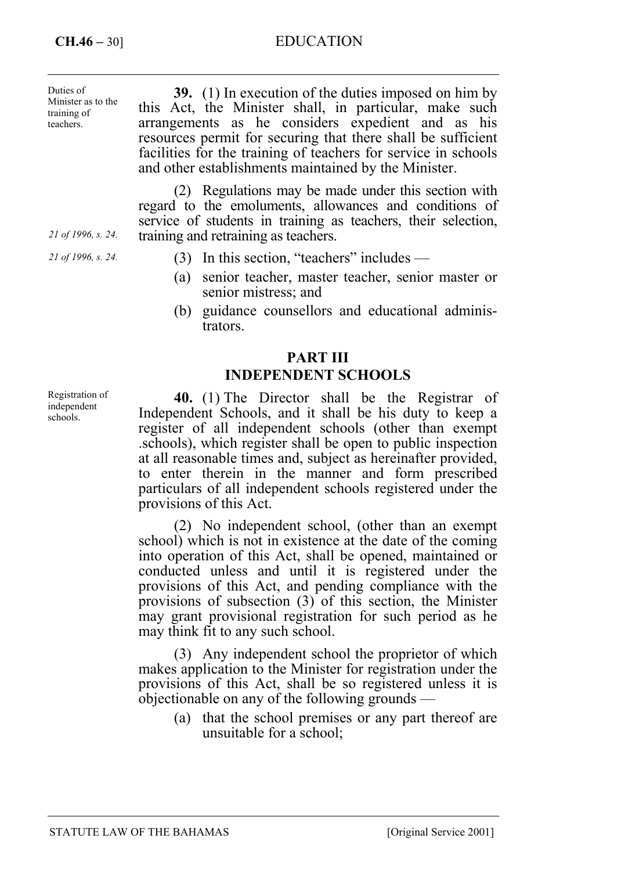# **CH.46 –** 30] EDUCATION

| Duties of<br>Minister as to the<br>training of<br>teachers. | <b>39.</b> (1) In execution of the duties imposed on him by<br>this Act, the Minister shall, in particular, make such<br>arrangements as he considers expedient and as his<br>resources permit for securing that there shall be sufficient<br>facilities for the training of teachers for service in schools<br>and other establishments maintained by the Minister. |
|-------------------------------------------------------------|----------------------------------------------------------------------------------------------------------------------------------------------------------------------------------------------------------------------------------------------------------------------------------------------------------------------------------------------------------------------|
| 21 of 1996, s. 24.                                          | (2) Regulations may be made under this section with<br>regard to the emoluments, allowances and conditions of<br>service of students in training as teachers, their selection,<br>training and retraining as teachers.                                                                                                                                               |

(3) In this section, "teachers" includes —

- (a) senior teacher, master teacher, senior master or senior mistress; and
- (b) guidance counsellors and educational administrators.

# **PART III INDEPENDENT SCHOOLS**

**40.** (1) The Director shall be the Registrar of Independent Schools, and it shall be his duty to keep a register of all independent schools (other than exempt .schools), which register shall be open to public inspection at all reasonable times and, subject as hereinafter provided, to enter therein in the manner and form prescribed particulars of all independent schools registered under the provisions of this Act.

(2) No independent school, (other than an exempt school) which is not in existence at the date of the coming into operation of this Act, shall be opened, maintained or conducted unless and until it is registered under the provisions of this Act, and pending compliance with the provisions of subsection (3) of this section, the Minister may grant provisional registration for such period as he may think fit to any such school.

(3) Any independent school the proprietor of which makes application to the Minister for registration under the provisions of this Act, shall be so registered unless it is objectionable on any of the following grounds —

(a) that the school premises or any part thereof are unsuitable for a school;

Registration of independent schools.

*21 of 1996, s. 24.*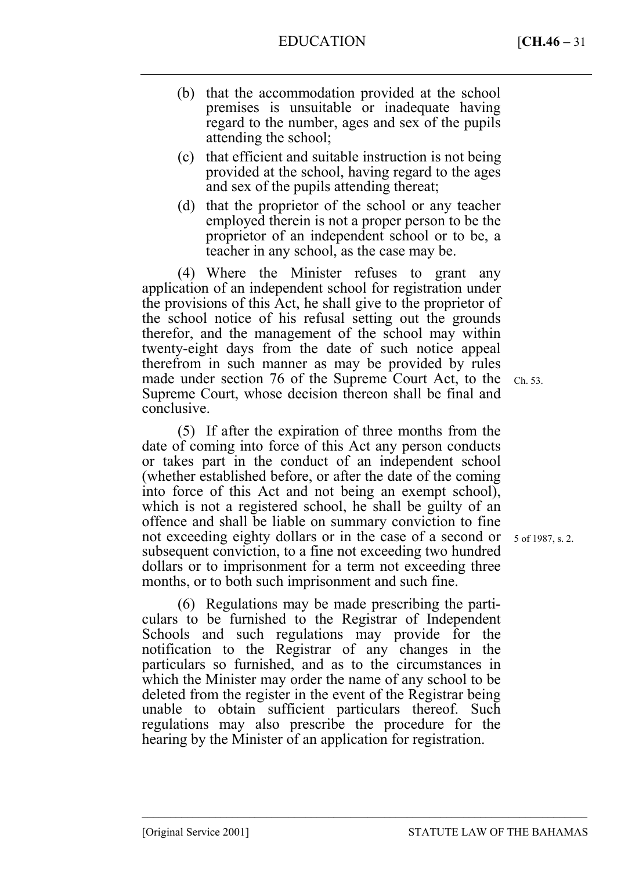- (b) that the accommodation provided at the school premises is unsuitable or inadequate having regard to the number, ages and sex of the pupils attending the school;
- (c) that efficient and suitable instruction is not being provided at the school, having regard to the ages and sex of the pupils attending thereat;
- (d) that the proprietor of the school or any teacher employed therein is not a proper person to be the proprietor of an independent school or to be, a teacher in any school, as the case may be.

(4) Where the Minister refuses to grant any application of an independent school for registration under the provisions of this Act, he shall give to the proprietor of the school notice of his refusal setting out the grounds therefor, and the management of the school may within twenty-eight days from the date of such notice appeal therefrom in such manner as may be provided by rules made under section 76 of the Supreme Court Act, to the Supreme Court, whose decision thereon shall be final and conclusive.

(5) If after the expiration of three months from the date of coming into force of this Act any person conducts or takes part in the conduct of an independent school (whether established before, or after the date of the coming into force of this Act and not being an exempt school), which is not a registered school, he shall be guilty of an offence and shall be liable on summary conviction to fine not exceeding eighty dollars or in the case of a second or subsequent conviction, to a fine not exceeding two hundred dollars or to imprisonment for a term not exceeding three months, or to both such imprisonment and such fine.

(6) Regulations may be made prescribing the particulars to be furnished to the Registrar of Independent Schools and such regulations may provide for the notification to the Registrar of any changes in the particulars so furnished, and as to the circumstances in which the Minister may order the name of any school to be deleted from the register in the event of the Registrar being unable to obtain sufficient particulars thereof. Such regulations may also prescribe the procedure for the hearing by the Minister of an application for registration.

–––––––––––––––––––––––––––––––––––––––––––––––––––––––––––––––––––––––––––––––

Ch. 53.

5 of 1987, s. 2.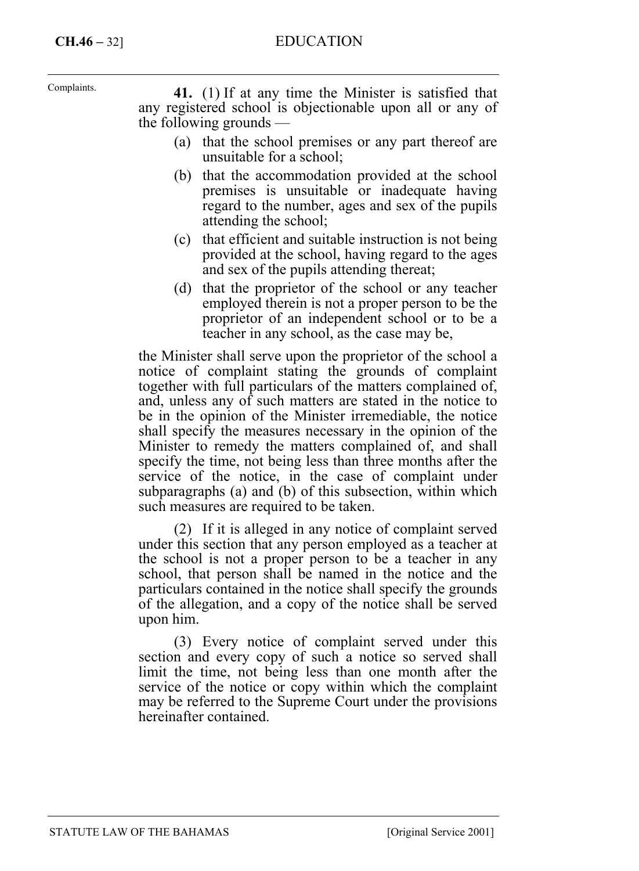# **CH.46 –** 32] EDUCATION

Complaints.

**41.** (1) If at any time the Minister is satisfied that any registered school is objectionable upon all or any of the following grounds —

- (a) that the school premises or any part thereof are unsuitable for a school;
- (b) that the accommodation provided at the school premises is unsuitable or inadequate having regard to the number, ages and sex of the pupils attending the school;
- (c) that efficient and suitable instruction is not being provided at the school, having regard to the ages and sex of the pupils attending thereat;
- (d) that the proprietor of the school or any teacher employed therein is not a proper person to be the proprietor of an independent school or to be a teacher in any school, as the case may be,

the Minister shall serve upon the proprietor of the school a notice of complaint stating the grounds of complaint together with full particulars of the matters complained of, and, unless any of such matters are stated in the notice to be in the opinion of the Minister irremediable, the notice shall specify the measures necessary in the opinion of the Minister to remedy the matters complained of, and shall specify the time, not being less than three months after the service of the notice, in the case of complaint under subparagraphs (a) and (b) of this subsection, within which such measures are required to be taken.

(2) If it is alleged in any notice of complaint served under this section that any person employed as a teacher at the school is not a proper person to be a teacher in any school, that person shall be named in the notice and the particulars contained in the notice shall specify the grounds of the allegation, and a copy of the notice shall be served upon him.

(3) Every notice of complaint served under this section and every copy of such a notice so served shall limit the time, not being less than one month after the service of the notice or copy within which the complaint may be referred to the Supreme Court under the provisions hereinafter contained.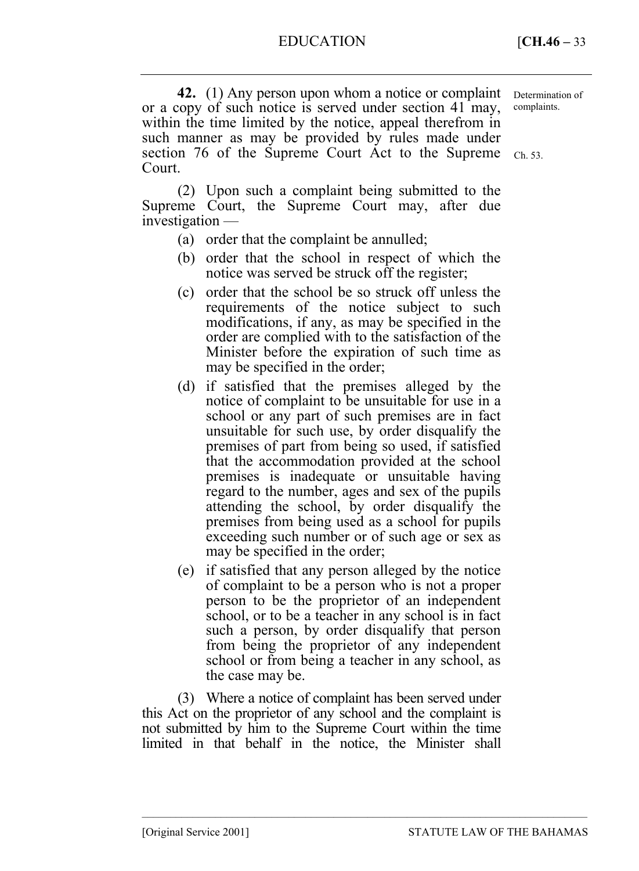**42.** (1) Any person upon whom a notice or complaint or a copy of such notice is served under section 41 may, within the time limited by the notice, appeal therefrom in such manner as may be provided by rules made under section 76 of the Supreme Court Act to the Supreme  $Ch. 53$ . Court. Determination of complaints.

(2) Upon such a complaint being submitted to the Supreme Court, the Supreme Court may, after due investigation —

- (a) order that the complaint be annulled;
- (b) order that the school in respect of which the notice was served be struck off the register;
- (c) order that the school be so struck off unless the requirements of the notice subject to such modifications, if any, as may be specified in the order are complied with to the satisfaction of the Minister before the expiration of such time as may be specified in the order;
- (d) if satisfied that the premises alleged by the notice of complaint to be unsuitable for use in a school or any part of such premises are in fact unsuitable for such use, by order disqualify the premises of part from being so used, if satisfied that the accommodation provided at the school premises is inadequate or unsuitable having regard to the number, ages and sex of the pupils attending the school, by order disqualify the premises from being used as a school for pupils exceeding such number or of such age or sex as may be specified in the order;
- (e) if satisfied that any person alleged by the notice of complaint to be a person who is not a proper person to be the proprietor of an independent school, or to be a teacher in any school is in fact such a person, by order disqualify that person from being the proprietor of any independent school or from being a teacher in any school, as the case may be.

(3) Where a notice of complaint has been served under this Act on the proprietor of any school and the complaint is not submitted by him to the Supreme Court within the time limited in that behalf in the notice, the Minister shall

–––––––––––––––––––––––––––––––––––––––––––––––––––––––––––––––––––––––––––––––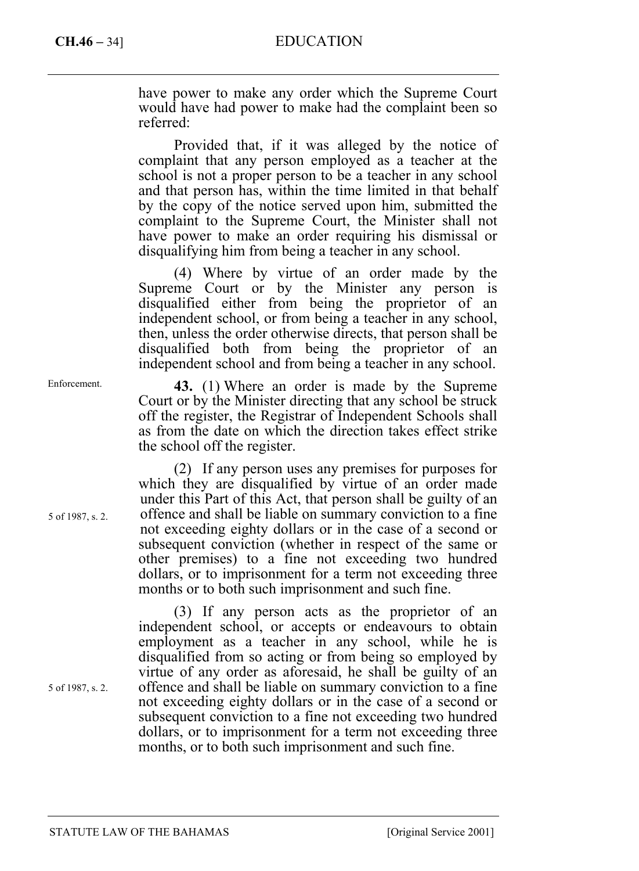# **CH.46 –** 34] EDUCATION

have power to make any order which the Supreme Court would have had power to make had the complaint been so referred:

Provided that, if it was alleged by the notice of complaint that any person employed as a teacher at the school is not a proper person to be a teacher in any school and that person has, within the time limited in that behalf by the copy of the notice served upon him, submitted the complaint to the Supreme Court, the Minister shall not have power to make an order requiring his dismissal or disqualifying him from being a teacher in any school.

(4) Where by virtue of an order made by the Supreme Court or by the Minister any person is disqualified either from being the proprietor of an independent school, or from being a teacher in any school, then, unless the order otherwise directs, that person shall be disqualified both from being the proprietor of an independent school and from being a teacher in any school.

**43.** (1) Where an order is made by the Supreme Court or by the Minister directing that any school be struck off the register, the Registrar of Independent Schools shall as from the date on which the direction takes effect strike the school off the register.

(2) If any person uses any premises for purposes for which they are disqualified by virtue of an order made under this Part of this Act, that person shall be guilty of an offence and shall be liable on summary conviction to a fine not exceeding eighty dollars or in the case of a second or subsequent conviction (whether in respect of the same or other premises) to a fine not exceeding two hundred dollars, or to imprisonment for a term not exceeding three months or to both such imprisonment and such fine.

(3) If any person acts as the proprietor of an independent school, or accepts or endeavours to obtain employment as a teacher in any school, while he is disqualified from so acting or from being so employed by virtue of any order as aforesaid, he shall be guilty of an offence and shall be liable on summary conviction to a fine not exceeding eighty dollars or in the case of a second or subsequent conviction to a fine not exceeding two hundred dollars, or to imprisonment for a term not exceeding three months, or to both such imprisonment and such fine.

Enforcement.

5 of 1987, s. 2.

5 of 1987, s. 2.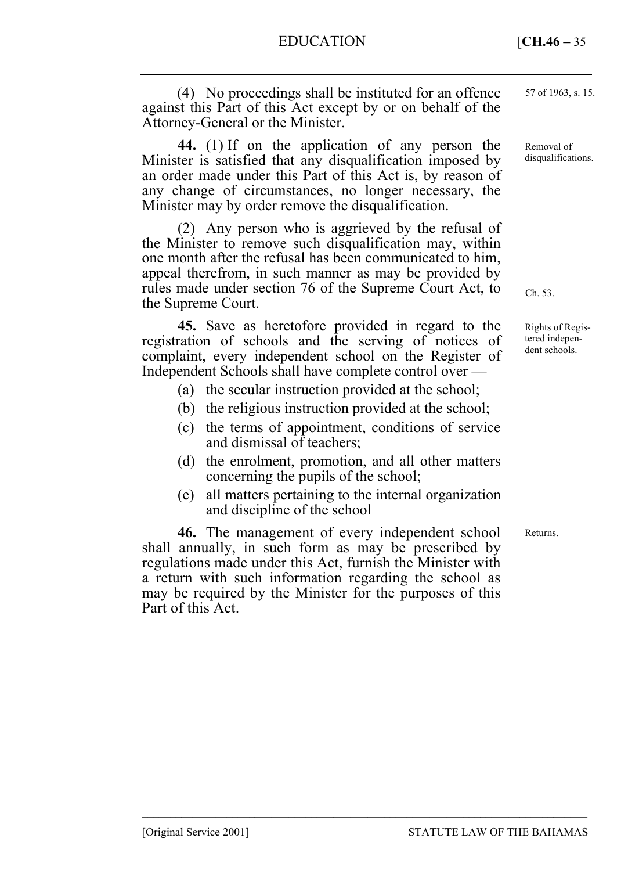EDUCATION **[CH.46 – 35**]

(4) No proceedings shall be instituted for an offence against this Part of this Act except by or on behalf of the Attorney-General or the Minister.

**44.** (1) If on the application of any person the Minister is satisfied that any disqualification imposed by an order made under this Part of this Act is, by reason of any change of circumstances, no longer necessary, the Minister may by order remove the disqualification.

(2) Any person who is aggrieved by the refusal of the Minister to remove such disqualification may, within one month after the refusal has been communicated to him, appeal therefrom, in such manner as may be provided by rules made under section 76 of the Supreme Court Act, to the Supreme Court.

**45.** Save as heretofore provided in regard to the registration of schools and the serving of notices of complaint, every independent school on the Register of Independent Schools shall have complete control over —

- (a) the secular instruction provided at the school;
- (b) the religious instruction provided at the school;
- (c) the terms of appointment, conditions of service and dismissal of teachers;
- (d) the enrolment, promotion, and all other matters concerning the pupils of the school;
- (e) all matters pertaining to the internal organization and discipline of the school

–––––––––––––––––––––––––––––––––––––––––––––––––––––––––––––––––––––––––––––––

**46.** The management of every independent school shall annually, in such form as may be prescribed by regulations made under this Act, furnish the Minister with a return with such information regarding the school as may be required by the Minister for the purposes of this Part of this Act.

57 of 1963, s. 15.

Removal of disqualifications.

Ch. 53.

Rights of Registered independent schools.

Returns.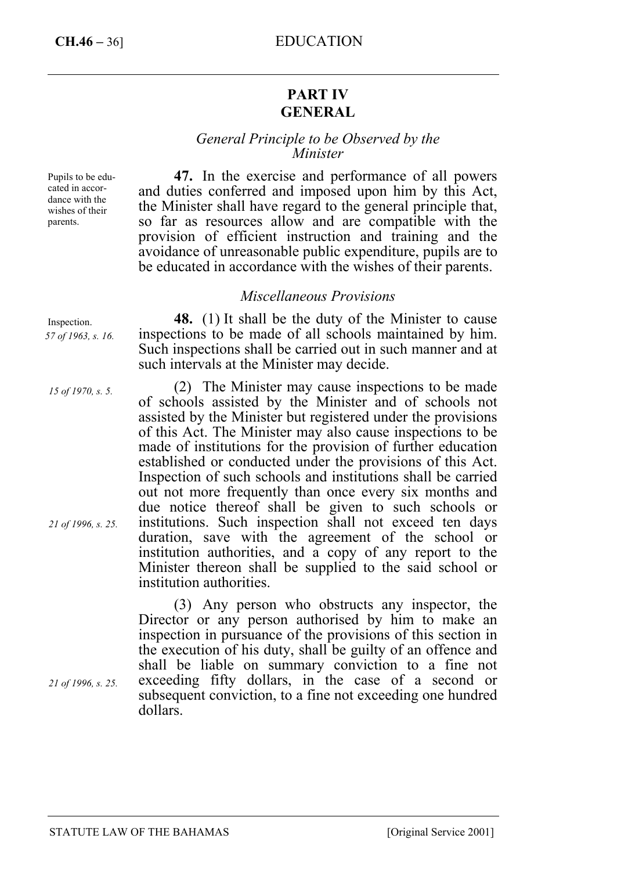# **CH.46 –** 36] EDUCATION

# **PART IV GENERAL**

## *General Principle to be Observed by the Minister*

**47.** In the exercise and performance of all powers and duties conferred and imposed upon him by this Act, the Minister shall have regard to the general principle that,

Pupils to be educated in accordance with the wishes of their parents.

so far as resources allow and are compatible with the provision of efficient instruction and training and the avoidance of unreasonable public expenditure, pupils are to be educated in accordance with the wishes of their parents. *Miscellaneous Provisions* 

**48.** (1) It shall be the duty of the Minister to cause inspections to be made of all schools maintained by him. Such inspections shall be carried out in such manner and at such intervals at the Minister may decide.

(2) The Minister may cause inspections to be made of schools assisted by the Minister and of schools not assisted by the Minister but registered under the provisions of this Act. The Minister may also cause inspections to be made of institutions for the provision of further education established or conducted under the provisions of this Act. Inspection of such schools and institutions shall be carried out not more frequently than once every six months and due notice thereof shall be given to such schools or institutions. Such inspection shall not exceed ten days duration, save with the agreement of the school or institution authorities, and a copy of any report to the Minister thereon shall be supplied to the said school or institution authorities.

(3) Any person who obstructs any inspector, the Director or any person authorised by him to make an inspection in pursuance of the provisions of this section in the execution of his duty, shall be guilty of an offence and shall be liable on summary conviction to a fine not exceeding fifty dollars, in the case of a second or subsequent conviction, to a fine not exceeding one hundred dollars.

Inspection.

*57 of 1963, s. 16.* 

*15 of 1970, s. 5.* 

*21 of 1996, s. 25.* 

*21 of 1996, s. 25.*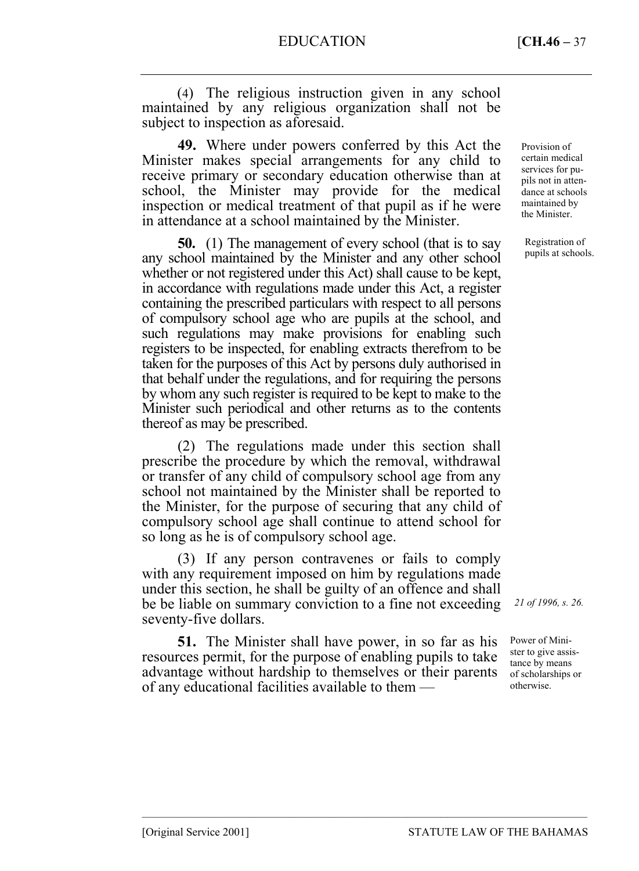(4) The religious instruction given in any school maintained by any religious organization shall not be subject to inspection as aforesaid.

**49.** Where under powers conferred by this Act the Minister makes special arrangements for any child to receive primary or secondary education otherwise than at school, the Minister may provide for the medical inspection or medical treatment of that pupil as if he were in attendance at a school maintained by the Minister.

**50.** (1) The management of every school (that is to say any school maintained by the Minister and any other school whether or not registered under this Act) shall cause to be kept, in accordance with regulations made under this Act, a register containing the prescribed particulars with respect to all persons of compulsory school age who are pupils at the school, and such regulations may make provisions for enabling such registers to be inspected, for enabling extracts therefrom to be taken for the purposes of this Act by persons duly authorised in that behalf under the regulations, and for requiring the persons by whom any such register is required to be kept to make to the Minister such periodical and other returns as to the contents thereof as may be prescribed.

(2) The regulations made under this section shall prescribe the procedure by which the removal, withdrawal or transfer of any child of compulsory school age from any school not maintained by the Minister shall be reported to the Minister, for the purpose of securing that any child of compulsory school age shall continue to attend school for so long as he is of compulsory school age.

(3) If any person contravenes or fails to comply with any requirement imposed on him by regulations made under this section, he shall be guilty of an offence and shall be be liable on summary conviction to a fine not exceeding seventy-five dollars.

**51.** The Minister shall have power, in so far as his resources permit, for the purpose of enabling pupils to take advantage without hardship to themselves or their parents of any educational facilities available to them —

–––––––––––––––––––––––––––––––––––––––––––––––––––––––––––––––––––––––––––––––

Provision of certain medical services for pupils not in attendance at schools maintained by the Minister.

Registration of pupils at schools.

*21 of 1996, s. 26.* 

Power of Minister to give assistance by means of scholarships or otherwise.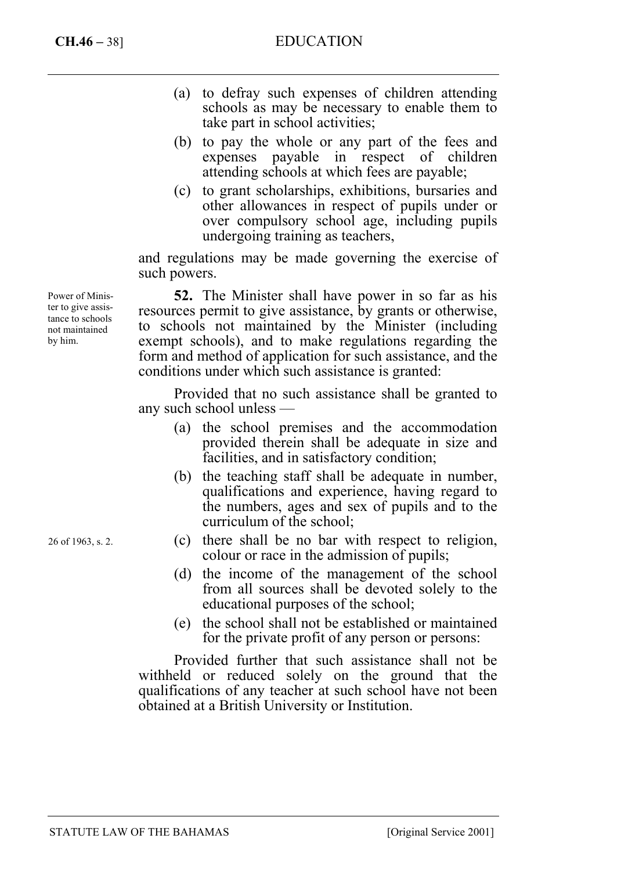- (a) to defray such expenses of children attending schools as may be necessary to enable them to take part in school activities;
- (b) to pay the whole or any part of the fees and expenses payable in respect of children attending schools at which fees are payable;
- (c) to grant scholarships, exhibitions, bursaries and other allowances in respect of pupils under or over compulsory school age, including pupils undergoing training as teachers,

and regulations may be made governing the exercise of such powers.

**52.** The Minister shall have power in so far as his resources permit to give assistance, by grants or otherwise, to schools not maintained by the Minister (including exempt schools), and to make regulations regarding the form and method of application for such assistance, and the conditions under which such assistance is granted:

Provided that no such assistance shall be granted to any such school unless —

- (a) the school premises and the accommodation provided therein shall be adequate in size and facilities, and in satisfactory condition;
- (b) the teaching staff shall be adequate in number, qualifications and experience, having regard to the numbers, ages and sex of pupils and to the curriculum of the school;
- (c) there shall be no bar with respect to religion, colour or race in the admission of pupils;
- (d) the income of the management of the school from all sources shall be devoted solely to the educational purposes of the school;
- (e) the school shall not be established or maintained for the private profit of any person or persons:

Provided further that such assistance shall not be withheld or reduced solely on the ground that the qualifications of any teacher at such school have not been obtained at a British University or Institution.

Power of Minister to give assistance to schools not maintained by him.

26 of 1963, s. 2.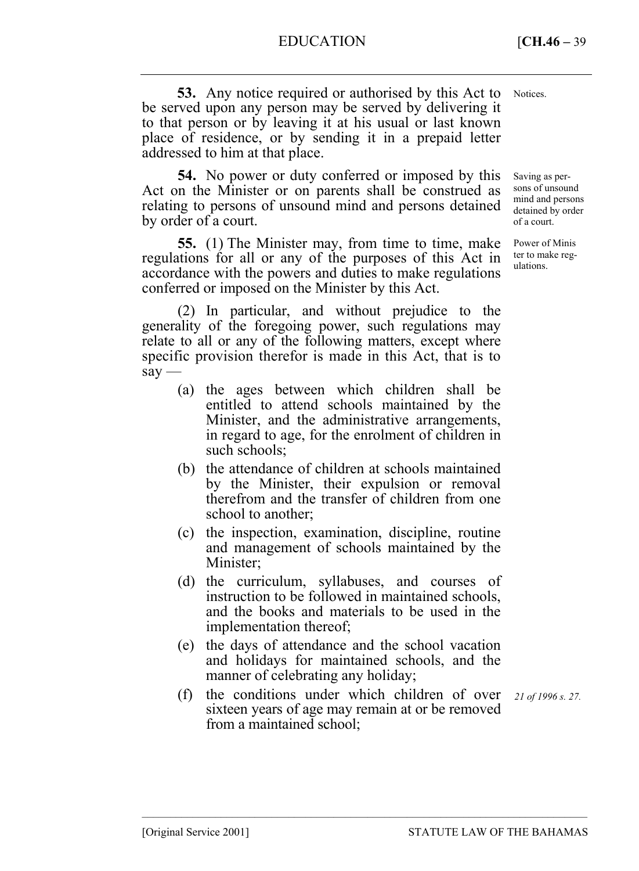**53.** Any notice required or authorised by this Act to be served upon any person may be served by delivering it to that person or by leaving it at his usual or last known place of residence, or by sending it in a prepaid letter addressed to him at that place. Notices.

**54.** No power or duty conferred or imposed by this Act on the Minister or on parents shall be construed as relating to persons of unsound mind and persons detained by order of a court.

**55.** (1) The Minister may, from time to time, make regulations for all or any of the purposes of this Act in accordance with the powers and duties to make regulations conferred or imposed on the Minister by this Act.

(2) In particular, and without prejudice to the generality of the foregoing power, such regulations may relate to all or any of the following matters, except where specific provision therefor is made in this Act, that is to  $say -$ 

- (a) the ages between which children shall be entitled to attend schools maintained by the Minister, and the administrative arrangements, in regard to age, for the enrolment of children in such schools;
- (b) the attendance of children at schools maintained by the Minister, their expulsion or removal therefrom and the transfer of children from one school to another;
- (c) the inspection, examination, discipline, routine and management of schools maintained by the Minister:
- (d) the curriculum, syllabuses, and courses of instruction to be followed in maintained schools, and the books and materials to be used in the implementation thereof;
- (e) the days of attendance and the school vacation and holidays for maintained schools, and the manner of celebrating any holiday;
- (f) the conditions under which children of over sixteen years of age may remain at or be removed from a maintained school;

–––––––––––––––––––––––––––––––––––––––––––––––––––––––––––––––––––––––––––––––

*21 of 1996 s. 27.* 

Saving as persons of unsound mind and persons detained by order of a court.

Power of Minis ter to make regulations.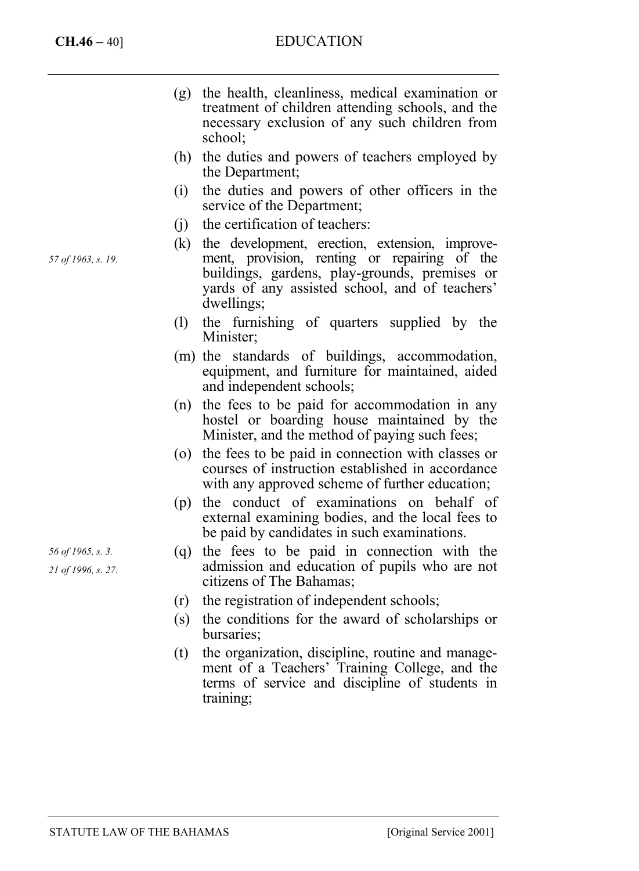# **CH.46 –** 40] EDUCATION

- (g) the health, cleanliness, medical examination or treatment of children attending schools, and the necessary exclusion of any such children from school;
- (h) the duties and powers of teachers employed by the Department;
- (i) the duties and powers of other officers in the service of the Department;
- (j) the certification of teachers:
- (k) the development, erection, extension, improvement, provision, renting or repairing of the buildings, gardens, play-grounds, premises or yards of any assisted school, and of teachers' dwellings;
- (l) the furnishing of quarters supplied by the Minister;
- (m) the standards of buildings, accommodation, equipment, and furniture for maintained, aided and independent schools;
- (n) the fees to be paid for accommodation in any hostel or boarding house maintained by the Minister, and the method of paying such fees;
- (o) the fees to be paid in connection with classes or courses of instruction established in accordance with any approved scheme of further education;
- (p) the conduct of examinations on behalf of external examining bodies, and the local fees to be paid by candidates in such examinations.
- (q) the fees to be paid in connection with the admission and education of pupils who are not citizens of The Bahamas;
- (r) the registration of independent schools;
- (s) the conditions for the award of scholarships or bursaries;
- (t) the organization, discipline, routine and management of a Teachers' Training College, and the terms of service and discipline of students in training;

*57 of 1963, s. 19.* 

*56 of 1965, s. 3.* 

*21 of 1996, s. 27.*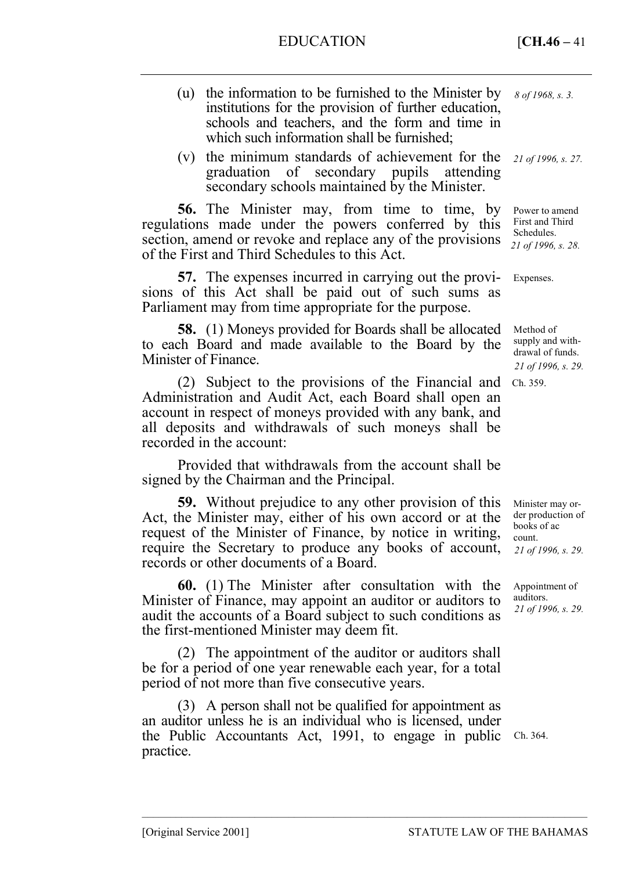- (u) the information to be furnished to the Minister by institutions for the provision of further education, schools and teachers, and the form and time in which such information shall be furnished;
- (v) the minimum standards of achievement for the graduation of secondary pupils attending secondary schools maintained by the Minister.

**56.** The Minister may, from time to time, by regulations made under the powers conferred by this section, amend or revoke and replace any of the provisions of the First and Third Schedules to this Act.

**57.** The expenses incurred in carrying out the provisions of this Act shall be paid out of such sums as Parliament may from time appropriate for the purpose.

**58.** (1) Moneys provided for Boards shall be allocated to each Board and made available to the Board by the Minister of Finance.

(2) Subject to the provisions of the Financial and Ch. 359. Administration and Audit Act, each Board shall open an account in respect of moneys provided with any bank, and all deposits and withdrawals of such moneys shall be recorded in the account:

Provided that withdrawals from the account shall be signed by the Chairman and the Principal.

**59.** Without prejudice to any other provision of this Act, the Minister may, either of his own accord or at the request of the Minister of Finance, by notice in writing, require the Secretary to produce any books of account, records or other documents of a Board.

**60.** (1) The Minister after consultation with the Minister of Finance, may appoint an auditor or auditors to audit the accounts of a Board subject to such conditions as the first-mentioned Minister may deem fit.

(2) The appointment of the auditor or auditors shall be for a period of one year renewable each year, for a total period of not more than five consecutive years.

(3) A person shall not be qualified for appointment as an auditor unless he is an individual who is licensed, under the Public Accountants Act, 1991, to engage in public Ch. 364. practice.

–––––––––––––––––––––––––––––––––––––––––––––––––––––––––––––––––––––––––––––––

*8 of 1968, s. 3.* 

*21 of 1996, s. 27.* 

Power to amend First and Third Schedules. *21 of 1996, s. 28.* 

Expenses.

Method of supply and withdrawal of funds. *21 of 1996, s. 29.* 

Minister may order production of books of ac count. *21 of 1996, s. 29.* 

Appointment of auditors. *21 of 1996, s. 29.*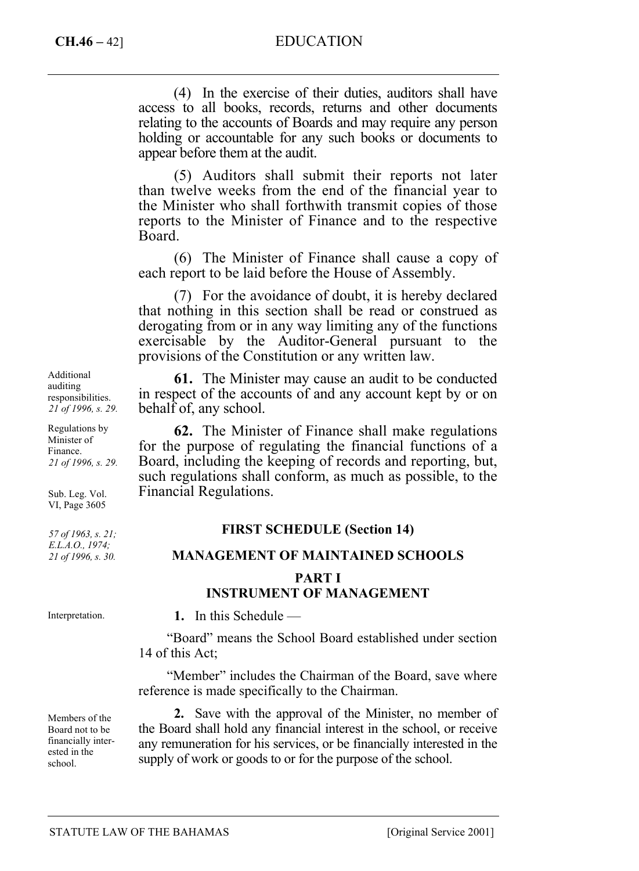# **CH.46 –** 42] EDUCATION

(4) In the exercise of their duties, auditors shall have access to all books, records, returns and other documents relating to the accounts of Boards and may require any person holding or accountable for any such books or documents to appear before them at the audit.

(5) Auditors shall submit their reports not later than twelve weeks from the end of the financial year to the Minister who shall forthwith transmit copies of those reports to the Minister of Finance and to the respective Board.

(6) The Minister of Finance shall cause a copy of each report to be laid before the House of Assembly.

(7) For the avoidance of doubt, it is hereby declared that nothing in this section shall be read or construed as derogating from or in any way limiting any of the functions exercisable by the Auditor-General pursuant to the provisions of the Constitution or any written law.

**61.** The Minister may cause an audit to be conducted in respect of the accounts of and any account kept by or on behalf of, any school.

**62.** The Minister of Finance shall make regulations for the purpose of regulating the financial functions of a Board, including the keeping of records and reporting, but, such regulations shall conform, as much as possible, to the Financial Regulations.

## **FIRST SCHEDULE (Section 14)**

#### **MANAGEMENT OF MAINTAINED SCHOOLS**

## **PART I INSTRUMENT OF MANAGEMENT**

**1.** In this Schedule —

"Board" means the School Board established under section 14 of this Act;

"Member" includes the Chairman of the Board, save where reference is made specifically to the Chairman.

**2.** Save with the approval of the Minister, no member of the Board shall hold any financial interest in the school, or receive any remuneration for his services, or be financially interested in the supply of work or goods to or for the purpose of the school.

Additional auditing responsibilities. *21 of 1996, s. 29.* 

Regulations by Minister of Finance. *21 of 1996, s. 29.* 

Sub. Leg. Vol. VI, Page 3605

*57 of 1963, s. 21; E.L.A.O., 1974; 21 of 1996, s. 30.* 

Interpretation.

Members of the Board not to be financially interested in the school.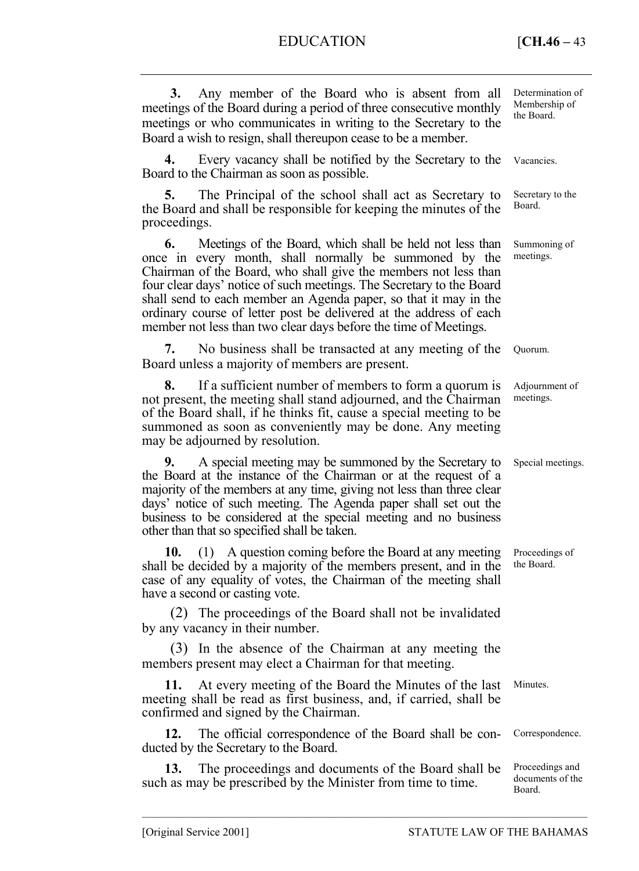# EDUCATION **[CH.46 – 43**]

| Any member of the Board who is absent from all<br>3.<br>meetings of the Board during a period of three consecutive monthly<br>meetings or who communicates in writing to the Secretary to the<br>Board a wish to resign, shall thereupon cease to be a member.                                                                                                                                                                                                                    | Determination of<br>Membership of<br>the Board. |
|-----------------------------------------------------------------------------------------------------------------------------------------------------------------------------------------------------------------------------------------------------------------------------------------------------------------------------------------------------------------------------------------------------------------------------------------------------------------------------------|-------------------------------------------------|
| 4.<br>Every vacancy shall be notified by the Secretary to the<br>Board to the Chairman as soon as possible.                                                                                                                                                                                                                                                                                                                                                                       | Vacancies.                                      |
| 5.<br>The Principal of the school shall act as Secretary to<br>the Board and shall be responsible for keeping the minutes of the<br>proceedings.                                                                                                                                                                                                                                                                                                                                  | Secretary to the<br>Board.                      |
| 6.<br>Meetings of the Board, which shall be held not less than<br>once in every month, shall normally be summoned by the<br>Chairman of the Board, who shall give the members not less than<br>four clear days' notice of such meetings. The Secretary to the Board<br>shall send to each member an Agenda paper, so that it may in the<br>ordinary course of letter post be delivered at the address of each<br>member not less than two clear days before the time of Meetings. | Summoning of<br>meetings.                       |
| No business shall be transacted at any meeting of the<br>7.<br>Board unless a majority of members are present.                                                                                                                                                                                                                                                                                                                                                                    | Ouorum.                                         |
| 8.<br>If a sufficient number of members to form a quorum is<br>not present, the meeting shall stand adjourned, and the Chairman<br>of the Board shall, if he thinks fit, cause a special meeting to be<br>summoned as soon as conveniently may be done. Any meeting<br>may be adjourned by resolution.                                                                                                                                                                            | Adjournment of<br>meetings.                     |
| 9.<br>A special meeting may be summoned by the Secretary to<br>the Board at the instance of the Chairman or at the request of a<br>majority of the members at any time, giving not less than three clear<br>days' notice of such meeting. The Agenda paper shall set out the<br>business to be considered at the special meeting and no business<br>other than that so specified shall be taken.                                                                                  | Special meetings.                               |
| (1) A question coming before the Board at any meeting<br>10.<br>shall be decided by a majority of the members present, and in the<br>case of any equality of votes, the Chairman of the meeting shall<br>have a second or casting vote.                                                                                                                                                                                                                                           | Proceedings of<br>the Board.                    |
| (2) The proceedings of the Board shall not be invalidated<br>by any vacancy in their number.                                                                                                                                                                                                                                                                                                                                                                                      |                                                 |

(3) In the absence of the Chairman at any meeting the members present may elect a Chairman for that meeting.

**11.** At every meeting of the Board the Minutes of the last meeting shall be read as first business, and, if carried, shall be confirmed and signed by the Chairman. Minutes.

**12.** The official correspondence of the Board shall be conducted by the Secretary to the Board.

**13.** The proceedings and documents of the Board shall be such as may be prescribed by the Minister from time to time.

–––––––––––––––––––––––––––––––––––––––––––––––––––––––––––––––––––––––––––––––

Correspondence.

Proceedings and documents of the Board.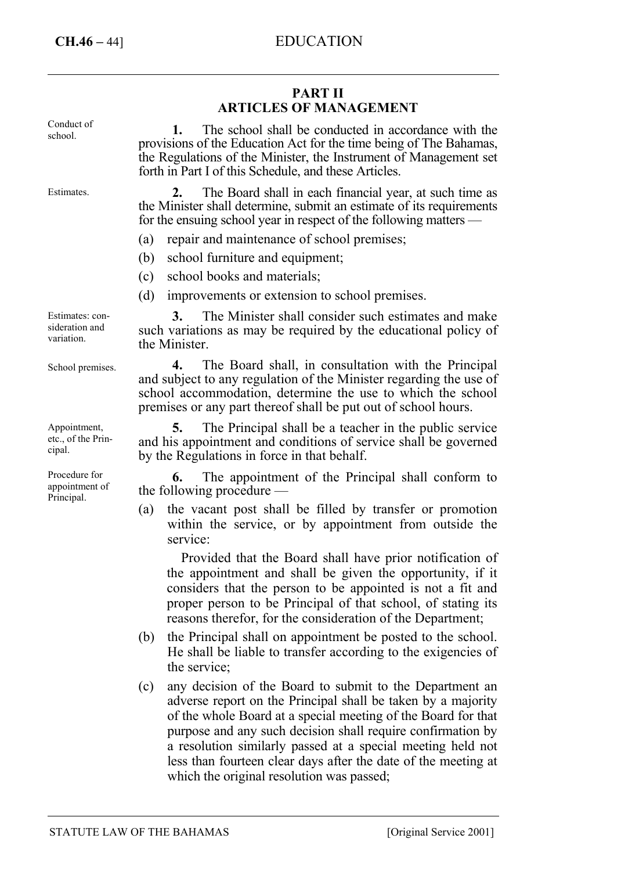Procedure for appointment of Principal.

#### **PART II ARTICLES OF MANAGEMENT 1.** The school shall be conducted in accordance with the provisions of the Education Act for the time being of The Bahamas, the Regulations of the Minister, the Instrument of Management set forth in Part I of this Schedule, and these Articles. **2.** The Board shall in each financial year, at such time as the Minister shall determine, submit an estimate of its requirements for the ensuing school year in respect of the following matters — (a) repair and maintenance of school premises; (b) school furniture and equipment; (c) school books and materials; (d) improvements or extension to school premises. **3.** The Minister shall consider such estimates and make such variations as may be required by the educational policy of the Minister. **4.** The Board shall, in consultation with the Principal and subject to any regulation of the Minister regarding the use of school accommodation, determine the use to which the school premises or any part thereof shall be put out of school hours. **5.** The Principal shall be a teacher in the public service and his appointment and conditions of service shall be governed by the Regulations in force in that behalf. Conduct of school. Estimates. Estimates: consideration and variation. School premises. Appointment, etc., of the Principal.

**6.** The appointment of the Principal shall conform to the following procedure —

(a) the vacant post shall be filled by transfer or promotion within the service, or by appointment from outside the service:

Provided that the Board shall have prior notification of the appointment and shall be given the opportunity, if it considers that the person to be appointed is not a fit and proper person to be Principal of that school, of stating its reasons therefor, for the consideration of the Department;

- (b) the Principal shall on appointment be posted to the school. He shall be liable to transfer according to the exigencies of the service;
- (c) any decision of the Board to submit to the Department an adverse report on the Principal shall be taken by a majority of the whole Board at a special meeting of the Board for that purpose and any such decision shall require confirmation by a resolution similarly passed at a special meeting held not less than fourteen clear days after the date of the meeting at which the original resolution was passed;

STATUTE LAW OF THE BAHAMAS [Original Service 2001]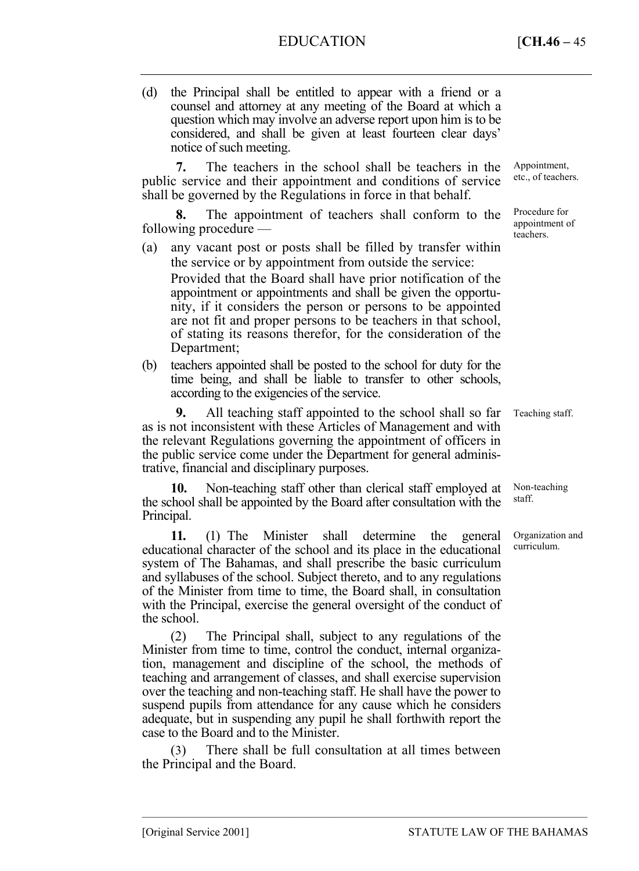# EDUCATION [**CH.46 –** 45

(d) the Principal shall be entitled to appear with a friend or a counsel and attorney at any meeting of the Board at which a question which may involve an adverse report upon him is to be considered, and shall be given at least fourteen clear days' notice of such meeting.

**7.** The teachers in the school shall be teachers in the public service and their appointment and conditions of service shall be governed by the Regulations in force in that behalf.

**8.** The appointment of teachers shall conform to the following procedure —

(a) any vacant post or posts shall be filled by transfer within the service or by appointment from outside the service:

Provided that the Board shall have prior notification of the appointment or appointments and shall be given the opportunity, if it considers the person or persons to be appointed are not fit and proper persons to be teachers in that school, of stating its reasons therefor, for the consideration of the Department;

(b) teachers appointed shall be posted to the school for duty for the time being, and shall be liable to transfer to other schools, according to the exigencies of the service.

**9.** All teaching staff appointed to the school shall so far as is not inconsistent with these Articles of Management and with the relevant Regulations governing the appointment of officers in the public service come under the Department for general administrative, financial and disciplinary purposes.

**10.** Non-teaching staff other than clerical staff employed at the school shall be appointed by the Board after consultation with the Principal.

**11.** (1) The Minister shall determine the general educational character of the school and its place in the educational system of The Bahamas, and shall prescribe the basic curriculum and syllabuses of the school. Subject thereto, and to any regulations of the Minister from time to time, the Board shall, in consultation with the Principal, exercise the general oversight of the conduct of the school.

(2) The Principal shall, subject to any regulations of the Minister from time to time, control the conduct, internal organization, management and discipline of the school, the methods of teaching and arrangement of classes, and shall exercise supervision over the teaching and non-teaching staff. He shall have the power to suspend pupils from attendance for any cause which he considers adequate, but in suspending any pupil he shall forthwith report the case to the Board and to the Minister.

(3) There shall be full consultation at all times between the Principal and the Board.

–––––––––––––––––––––––––––––––––––––––––––––––––––––––––––––––––––––––––––––––

Appointment, etc., of teachers.

Procedure for appointment of teachers.

Teaching staff.

Non-teaching staff.

Organization and curriculum.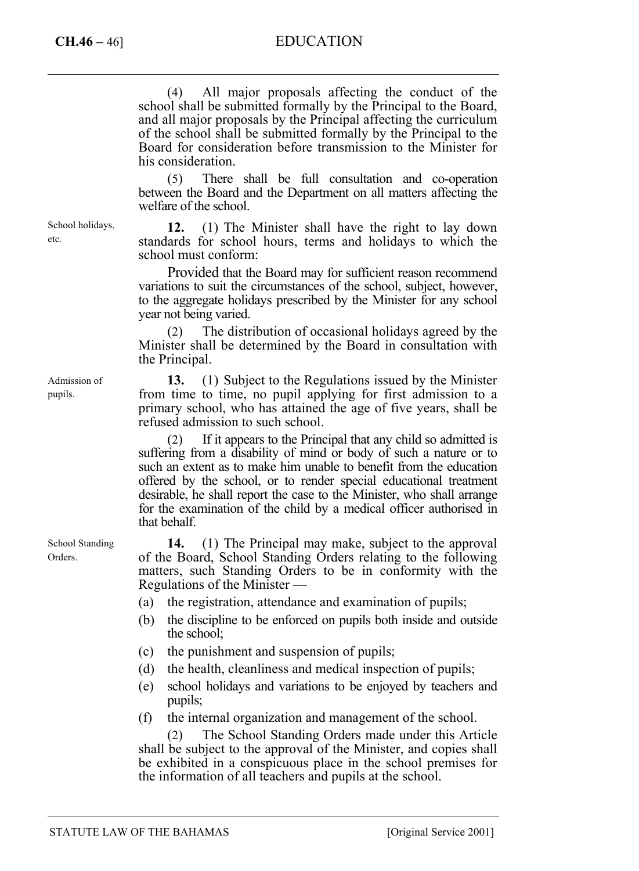# **CH.46 –** 46] EDUCATION

(4) All major proposals affecting the conduct of the school shall be submitted formally by the Principal to the Board, and all major proposals by the Principal affecting the curriculum of the school shall be submitted formally by the Principal to the Board for consideration before transmission to the Minister for his consideration.

(5) There shall be full consultation and co-operation between the Board and the Department on all matters affecting the welfare of the school.

**12.** (1) The Minister shall have the right to lay down standards for school hours, terms and holidays to which the school must conform:

Provided that the Board may for sufficient reason recommend variations to suit the circumstances of the school, subject, however, to the aggregate holidays prescribed by the Minister for any school year not being varied.

(2) The distribution of occasional holidays agreed by the Minister shall be determined by the Board in consultation with the Principal.

**13.** (1) Subject to the Regulations issued by the Minister from time to time, no pupil applying for first admission to a primary school, who has attained the age of five years, shall be refused admission to such school.

(2) If it appears to the Principal that any child so admitted is suffering from a disability of mind or body of such a nature or to such an extent as to make him unable to benefit from the education offered by the school, or to render special educational treatment desirable, he shall report the case to the Minister, who shall arrange for the examination of the child by a medical officer authorised in that behalf.

**14.** (1) The Principal may make, subject to the approval of the Board, School Standing Orders relating to the following matters, such Standing Orders to be in conformity with the Regulations of the Minister —

(a) the registration, attendance and examination of pupils;

- (b) the discipline to be enforced on pupils both inside and outside the school;
- (c) the punishment and suspension of pupils;
- (d) the health, cleanliness and medical inspection of pupils;
- (e) school holidays and variations to be enjoyed by teachers and pupils;
- (f) the internal organization and management of the school.

(2) The School Standing Orders made under this Article shall be subject to the approval of the Minister, and copies shall be exhibited in a conspicuous place in the school premises for the information of all teachers and pupils at the school.

Admission of pupils.

School holidays,

etc.

School Standing Orders.